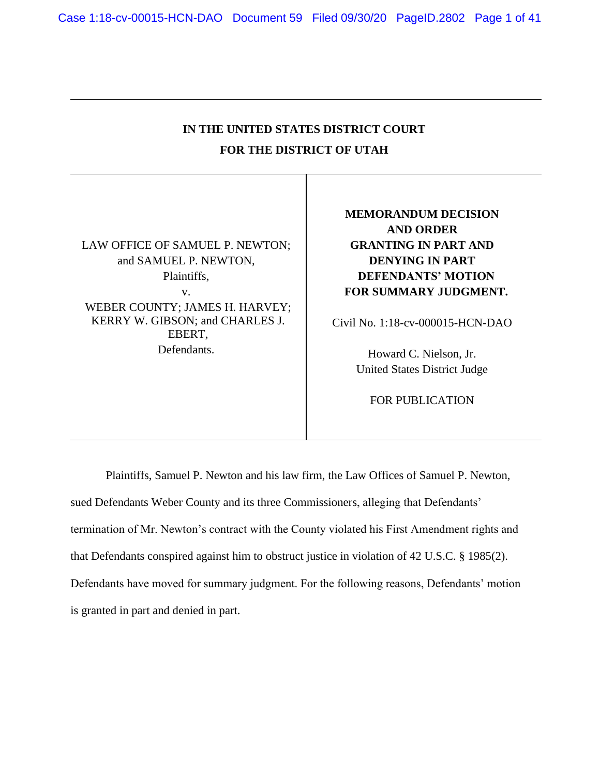# **IN THE UNITED STATES DISTRICT COURT FOR THE DISTRICT OF UTAH**

LAW OFFICE OF SAMUEL P. NEWTON; and SAMUEL P. NEWTON, Plaintiffs, v. WEBER COUNTY; JAMES H. HARVEY; KERRY W. GIBSON; and CHARLES J.

EBERT, Defendants. **MEMORANDUM DECISION AND ORDER GRANTING IN PART AND DENYING IN PART DEFENDANTS' MOTION FOR SUMMARY JUDGMENT.**

Civil No. 1:18-cv-000015-HCN-DAO

Howard C. Nielson, Jr. United States District Judge

FOR PUBLICATION

Plaintiffs, Samuel P. Newton and his law firm, the Law Offices of Samuel P. Newton, sued Defendants Weber County and its three Commissioners, alleging that Defendants' termination of Mr. Newton's contract with the County violated his First Amendment rights and that Defendants conspired against him to obstruct justice in violation of 42 U.S.C. § 1985(2). Defendants have moved for summary judgment. For the following reasons, Defendants' motion is granted in part and denied in part.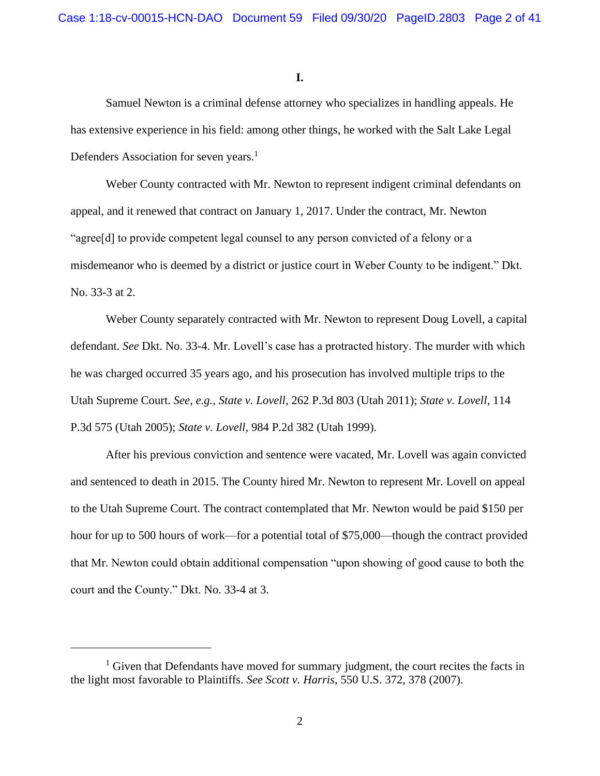**I.**

Samuel Newton is a criminal defense attorney who specializes in handling appeals. He has extensive experience in his field: among other things, he worked with the Salt Lake Legal Defenders Association for seven years.<sup>1</sup>

Weber County contracted with Mr. Newton to represent indigent criminal defendants on appeal, and it renewed that contract on January 1, 2017. Under the contract, Mr. Newton "agree[d] to provide competent legal counsel to any person convicted of a felony or a misdemeanor who is deemed by a district or justice court in Weber County to be indigent." Dkt. No. 33-3 at 2.

Weber County separately contracted with Mr. Newton to represent Doug Lovell, a capital defendant. *See* Dkt. No. 33-4. Mr. Lovell's case has a protracted history. The murder with which he was charged occurred 35 years ago, and his prosecution has involved multiple trips to the Utah Supreme Court. *See*, *e.g.*, *State v. Lovell,* 262 P.3d 803 (Utah 2011); *State v. Lovell*, 114 P.3d 575 (Utah 2005); *State v. Lovell*, 984 P.2d 382 (Utah 1999).

After his previous conviction and sentence were vacated, Mr. Lovell was again convicted and sentenced to death in 2015. The County hired Mr. Newton to represent Mr. Lovell on appeal to the Utah Supreme Court. The contract contemplated that Mr. Newton would be paid \$150 per hour for up to 500 hours of work—for a potential total of \$75,000—though the contract provided that Mr. Newton could obtain additional compensation "upon showing of good cause to both the court and the County." Dkt. No. 33-4 at 3.

 $1$  Given that Defendants have moved for summary judgment, the court recites the facts in the light most favorable to Plaintiffs. *See Scott v. Harris*, 550 U.S. 372, 378 (2007).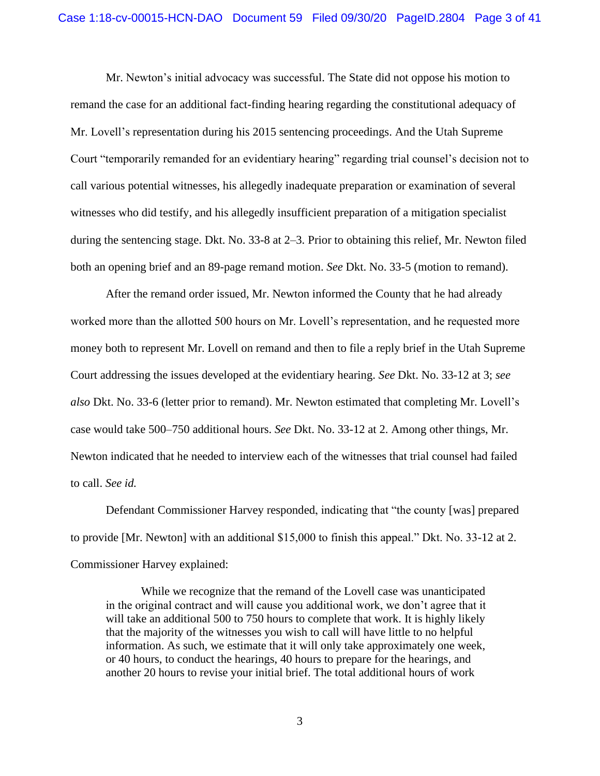Mr. Newton's initial advocacy was successful. The State did not oppose his motion to remand the case for an additional fact-finding hearing regarding the constitutional adequacy of Mr. Lovell's representation during his 2015 sentencing proceedings. And the Utah Supreme Court "temporarily remanded for an evidentiary hearing" regarding trial counsel's decision not to call various potential witnesses, his allegedly inadequate preparation or examination of several witnesses who did testify, and his allegedly insufficient preparation of a mitigation specialist during the sentencing stage. Dkt. No. 33-8 at 2–3. Prior to obtaining this relief, Mr. Newton filed both an opening brief and an 89-page remand motion. *See* Dkt. No. 33-5 (motion to remand).

After the remand order issued, Mr. Newton informed the County that he had already worked more than the allotted 500 hours on Mr. Lovell's representation, and he requested more money both to represent Mr. Lovell on remand and then to file a reply brief in the Utah Supreme Court addressing the issues developed at the evidentiary hearing. *See* Dkt. No. 33-12 at 3; *see also* Dkt. No. 33-6 (letter prior to remand). Mr. Newton estimated that completing Mr. Lovell's case would take 500–750 additional hours. *See* Dkt. No. 33-12 at 2. Among other things, Mr. Newton indicated that he needed to interview each of the witnesses that trial counsel had failed to call. *See id.*

Defendant Commissioner Harvey responded, indicating that "the county [was] prepared to provide [Mr. Newton] with an additional \$15,000 to finish this appeal." Dkt. No. 33-12 at 2. Commissioner Harvey explained:

While we recognize that the remand of the Lovell case was unanticipated in the original contract and will cause you additional work, we don't agree that it will take an additional 500 to 750 hours to complete that work. It is highly likely that the majority of the witnesses you wish to call will have little to no helpful information. As such, we estimate that it will only take approximately one week, or 40 hours, to conduct the hearings, 40 hours to prepare for the hearings, and another 20 hours to revise your initial brief. The total additional hours of work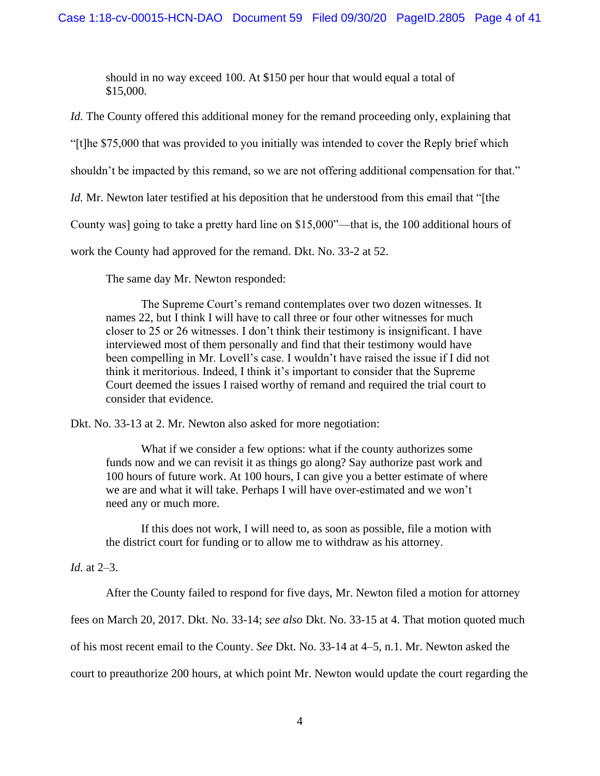should in no way exceed 100. At \$150 per hour that would equal a total of \$15,000.

*Id.* The County offered this additional money for the remand proceeding only, explaining that

"[t]he \$75,000 that was provided to you initially was intended to cover the Reply brief which

shouldn't be impacted by this remand, so we are not offering additional compensation for that."

*Id.* Mr. Newton later testified at his deposition that he understood from this email that "[the

County was] going to take a pretty hard line on \$15,000"—that is, the 100 additional hours of

work the County had approved for the remand. Dkt. No. 33-2 at 52.

The same day Mr. Newton responded:

The Supreme Court's remand contemplates over two dozen witnesses. It names 22, but I think I will have to call three or four other witnesses for much closer to 25 or 26 witnesses. I don't think their testimony is insignificant. I have interviewed most of them personally and find that their testimony would have been compelling in Mr. Lovell's case. I wouldn't have raised the issue if I did not think it meritorious. Indeed, I think it's important to consider that the Supreme Court deemed the issues I raised worthy of remand and required the trial court to consider that evidence.

Dkt. No. 33-13 at 2. Mr. Newton also asked for more negotiation:

What if we consider a few options: what if the county authorizes some funds now and we can revisit it as things go along? Say authorize past work and 100 hours of future work. At 100 hours, I can give you a better estimate of where we are and what it will take. Perhaps I will have over-estimated and we won't need any or much more.

If this does not work, I will need to, as soon as possible, file a motion with the district court for funding or to allow me to withdraw as his attorney.

# *Id.* at 2–3.

After the County failed to respond for five days, Mr. Newton filed a motion for attorney

fees on March 20, 2017. Dkt. No. 33-14; *see also* Dkt. No. 33-15 at 4. That motion quoted much

of his most recent email to the County. *See* Dkt. No. 33-14 at 4–5, n.1. Mr. Newton asked the

court to preauthorize 200 hours, at which point Mr. Newton would update the court regarding the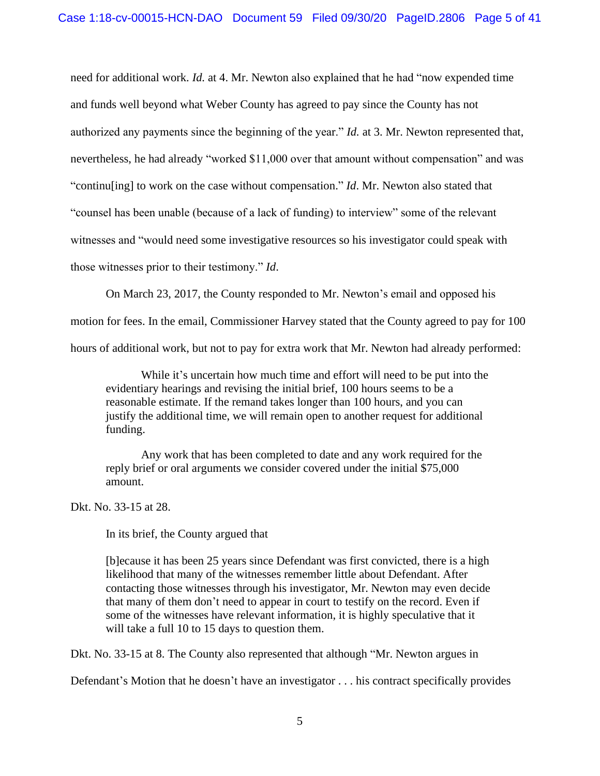need for additional work. *Id.* at 4. Mr. Newton also explained that he had "now expended time and funds well beyond what Weber County has agreed to pay since the County has not authorized any payments since the beginning of the year." *Id.* at 3. Mr. Newton represented that, nevertheless, he had already "worked \$11,000 over that amount without compensation" and was "continu[ing] to work on the case without compensation." *Id*. Mr. Newton also stated that "counsel has been unable (because of a lack of funding) to interview" some of the relevant witnesses and "would need some investigative resources so his investigator could speak with those witnesses prior to their testimony." *Id*.

On March 23, 2017, the County responded to Mr. Newton's email and opposed his

motion for fees. In the email, Commissioner Harvey stated that the County agreed to pay for 100

hours of additional work, but not to pay for extra work that Mr. Newton had already performed:

While it's uncertain how much time and effort will need to be put into the evidentiary hearings and revising the initial brief, 100 hours seems to be a reasonable estimate. If the remand takes longer than 100 hours, and you can justify the additional time, we will remain open to another request for additional funding.

Any work that has been completed to date and any work required for the reply brief or oral arguments we consider covered under the initial \$75,000 amount.

Dkt. No. 33-15 at 28.

In its brief, the County argued that

[b]ecause it has been 25 years since Defendant was first convicted, there is a high likelihood that many of the witnesses remember little about Defendant. After contacting those witnesses through his investigator, Mr. Newton may even decide that many of them don't need to appear in court to testify on the record. Even if some of the witnesses have relevant information, it is highly speculative that it will take a full 10 to 15 days to question them.

Dkt. No. 33-15 at 8. The County also represented that although "Mr. Newton argues in

Defendant's Motion that he doesn't have an investigator . . . his contract specifically provides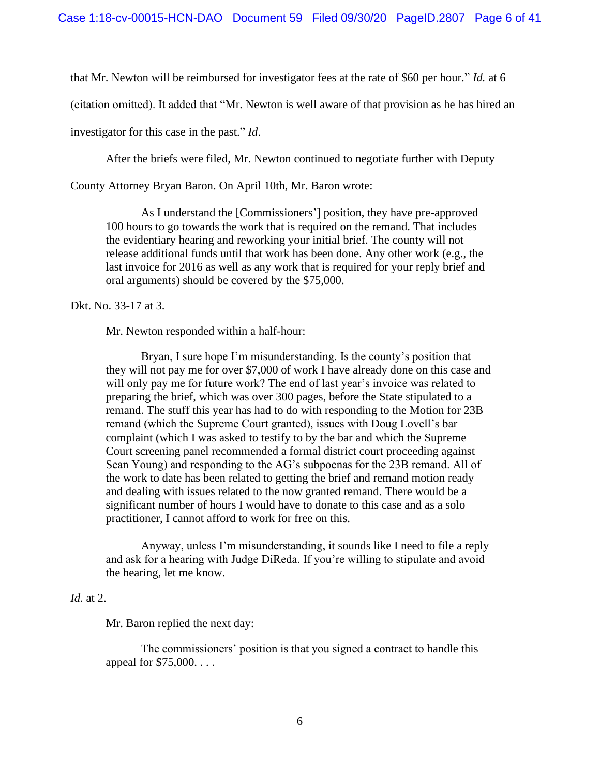that Mr. Newton will be reimbursed for investigator fees at the rate of \$60 per hour." *Id.* at 6

(citation omitted). It added that "Mr. Newton is well aware of that provision as he has hired an

investigator for this case in the past." *Id*.

After the briefs were filed, Mr. Newton continued to negotiate further with Deputy

County Attorney Bryan Baron. On April 10th, Mr. Baron wrote:

As I understand the [Commissioners'] position, they have pre-approved 100 hours to go towards the work that is required on the remand. That includes the evidentiary hearing and reworking your initial brief. The county will not release additional funds until that work has been done. Any other work (e.g., the last invoice for 2016 as well as any work that is required for your reply brief and oral arguments) should be covered by the \$75,000.

Dkt. No. 33-17 at 3.

Mr. Newton responded within a half-hour:

Bryan, I sure hope I'm misunderstanding. Is the county's position that they will not pay me for over \$7,000 of work I have already done on this case and will only pay me for future work? The end of last year's invoice was related to preparing the brief, which was over 300 pages, before the State stipulated to a remand. The stuff this year has had to do with responding to the Motion for 23B remand (which the Supreme Court granted), issues with Doug Lovell's bar complaint (which I was asked to testify to by the bar and which the Supreme Court screening panel recommended a formal district court proceeding against Sean Young) and responding to the AG's subpoenas for the 23B remand. All of the work to date has been related to getting the brief and remand motion ready and dealing with issues related to the now granted remand. There would be a significant number of hours I would have to donate to this case and as a solo practitioner, I cannot afford to work for free on this.

Anyway, unless I'm misunderstanding, it sounds like I need to file a reply and ask for a hearing with Judge DiReda. If you're willing to stipulate and avoid the hearing, let me know.

# *Id.* at 2.

Mr. Baron replied the next day:

The commissioners' position is that you signed a contract to handle this appeal for \$75,000. . . .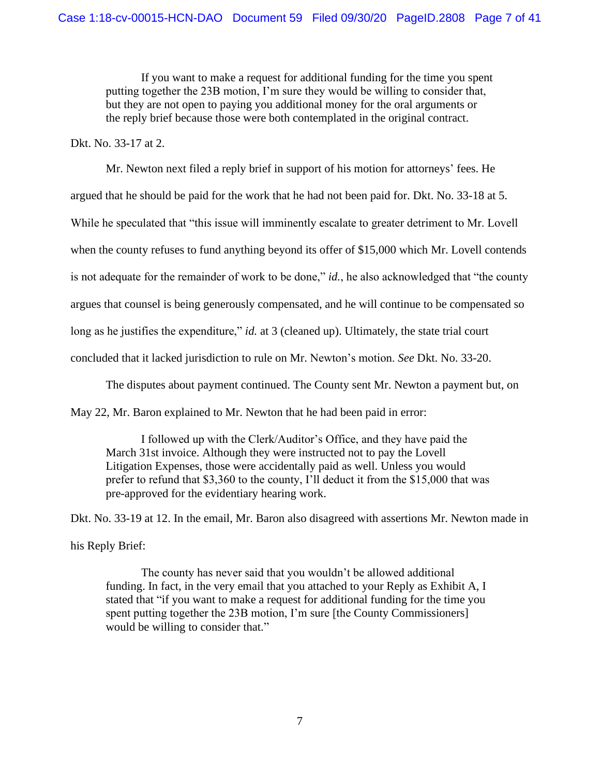If you want to make a request for additional funding for the time you spent putting together the 23B motion, I'm sure they would be willing to consider that, but they are not open to paying you additional money for the oral arguments or the reply brief because those were both contemplated in the original contract.

Dkt. No. 33-17 at 2.

Mr. Newton next filed a reply brief in support of his motion for attorneys' fees. He

argued that he should be paid for the work that he had not been paid for. Dkt. No. 33-18 at 5.

While he speculated that "this issue will imminently escalate to greater detriment to Mr. Lovell

when the county refuses to fund anything beyond its offer of \$15,000 which Mr. Lovell contends

is not adequate for the remainder of work to be done," *id.*, he also acknowledged that "the county"

argues that counsel is being generously compensated, and he will continue to be compensated so

long as he justifies the expenditure," *id.* at 3 (cleaned up). Ultimately, the state trial court

concluded that it lacked jurisdiction to rule on Mr. Newton's motion. *See* Dkt. No. 33-20.

The disputes about payment continued. The County sent Mr. Newton a payment but, on

May 22, Mr. Baron explained to Mr. Newton that he had been paid in error:

I followed up with the Clerk/Auditor's Office, and they have paid the March 31st invoice. Although they were instructed not to pay the Lovell Litigation Expenses, those were accidentally paid as well. Unless you would prefer to refund that \$3,360 to the county, I'll deduct it from the \$15,000 that was pre-approved for the evidentiary hearing work.

Dkt. No. 33-19 at 12. In the email, Mr. Baron also disagreed with assertions Mr. Newton made in his Reply Brief:

The county has never said that you wouldn't be allowed additional funding. In fact, in the very email that you attached to your Reply as Exhibit A, I stated that "if you want to make a request for additional funding for the time you spent putting together the 23B motion, I'm sure [the County Commissioners] would be willing to consider that."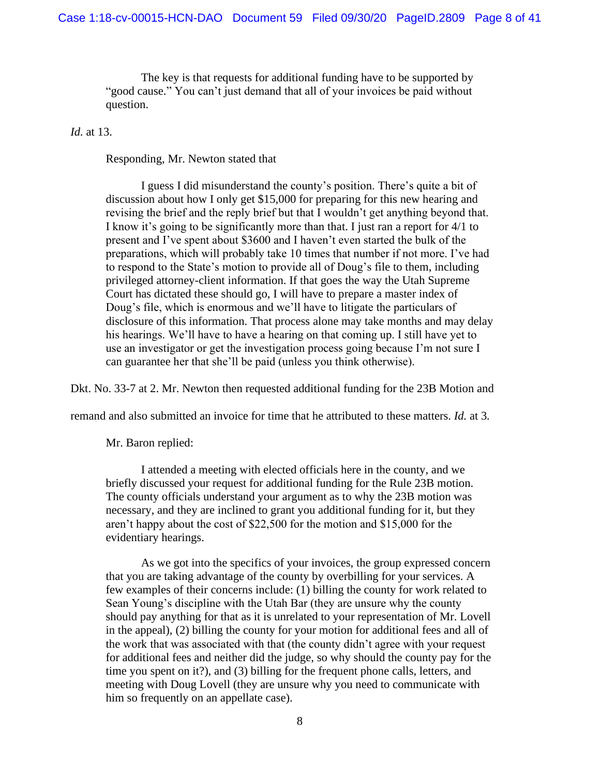The key is that requests for additional funding have to be supported by "good cause." You can't just demand that all of your invoices be paid without question.

*Id.* at 13.

Responding, Mr. Newton stated that

I guess I did misunderstand the county's position. There's quite a bit of discussion about how I only get \$15,000 for preparing for this new hearing and revising the brief and the reply brief but that I wouldn't get anything beyond that. I know it's going to be significantly more than that. I just ran a report for 4/1 to present and I've spent about \$3600 and I haven't even started the bulk of the preparations, which will probably take 10 times that number if not more. I've had to respond to the State's motion to provide all of Doug's file to them, including privileged attorney-client information. If that goes the way the Utah Supreme Court has dictated these should go, I will have to prepare a master index of Doug's file, which is enormous and we'll have to litigate the particulars of disclosure of this information. That process alone may take months and may delay his hearings. We'll have to have a hearing on that coming up. I still have yet to use an investigator or get the investigation process going because I'm not sure I can guarantee her that she'll be paid (unless you think otherwise).

Dkt. No. 33-7 at 2. Mr. Newton then requested additional funding for the 23B Motion and

remand and also submitted an invoice for time that he attributed to these matters. *Id.* at 3*.* 

Mr. Baron replied:

I attended a meeting with elected officials here in the county, and we briefly discussed your request for additional funding for the Rule 23B motion. The county officials understand your argument as to why the 23B motion was necessary, and they are inclined to grant you additional funding for it, but they aren't happy about the cost of \$22,500 for the motion and \$15,000 for the evidentiary hearings.

As we got into the specifics of your invoices, the group expressed concern that you are taking advantage of the county by overbilling for your services. A few examples of their concerns include: (1) billing the county for work related to Sean Young's discipline with the Utah Bar (they are unsure why the county should pay anything for that as it is unrelated to your representation of Mr. Lovell in the appeal), (2) billing the county for your motion for additional fees and all of the work that was associated with that (the county didn't agree with your request for additional fees and neither did the judge, so why should the county pay for the time you spent on it?), and (3) billing for the frequent phone calls, letters, and meeting with Doug Lovell (they are unsure why you need to communicate with him so frequently on an appellate case).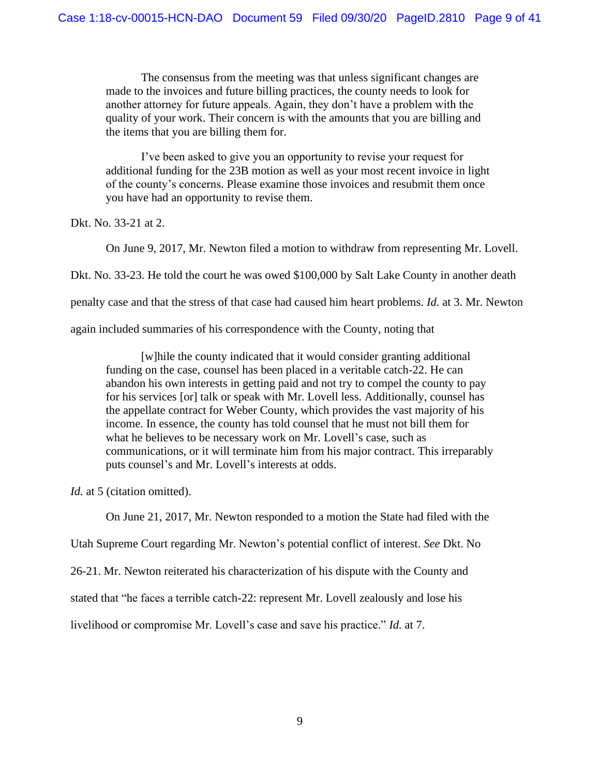The consensus from the meeting was that unless significant changes are made to the invoices and future billing practices, the county needs to look for another attorney for future appeals. Again, they don't have a problem with the quality of your work. Their concern is with the amounts that you are billing and the items that you are billing them for.

I've been asked to give you an opportunity to revise your request for additional funding for the 23B motion as well as your most recent invoice in light of the county's concerns. Please examine those invoices and resubmit them once you have had an opportunity to revise them.

Dkt. No. 33-21 at 2.

On June 9, 2017, Mr. Newton filed a motion to withdraw from representing Mr. Lovell.

Dkt. No. 33-23. He told the court he was owed \$100,000 by Salt Lake County in another death

penalty case and that the stress of that case had caused him heart problems. *Id.* at 3. Mr. Newton

again included summaries of his correspondence with the County, noting that

[w]hile the county indicated that it would consider granting additional funding on the case, counsel has been placed in a veritable catch-22. He can abandon his own interests in getting paid and not try to compel the county to pay for his services [or] talk or speak with Mr. Lovell less. Additionally, counsel has the appellate contract for Weber County, which provides the vast majority of his income. In essence, the county has told counsel that he must not bill them for what he believes to be necessary work on Mr. Lovell's case, such as communications, or it will terminate him from his major contract. This irreparably puts counsel's and Mr. Lovell's interests at odds.

*Id.* at 5 (citation omitted).

On June 21, 2017, Mr. Newton responded to a motion the State had filed with the

Utah Supreme Court regarding Mr. Newton's potential conflict of interest. *See* Dkt. No

26-21. Mr. Newton reiterated his characterization of his dispute with the County and

stated that "he faces a terrible catch-22: represent Mr. Lovell zealously and lose his

livelihood or compromise Mr. Lovell's case and save his practice." *Id.* at 7.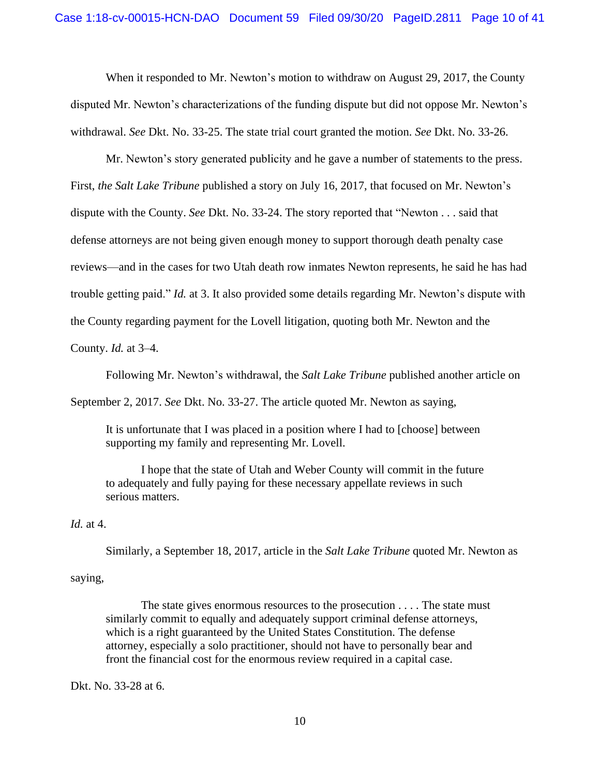When it responded to Mr. Newton's motion to withdraw on August 29, 2017, the County disputed Mr. Newton's characterizations of the funding dispute but did not oppose Mr. Newton's withdrawal. *See* Dkt. No. 33-25. The state trial court granted the motion. *See* Dkt. No. 33-26.

Mr. Newton's story generated publicity and he gave a number of statements to the press. First, *the Salt Lake Tribune* published a story on July 16, 2017, that focused on Mr. Newton's dispute with the County. *See* Dkt. No. 33-24. The story reported that "Newton . . . said that defense attorneys are not being given enough money to support thorough death penalty case reviews—and in the cases for two Utah death row inmates Newton represents, he said he has had trouble getting paid." *Id.* at 3. It also provided some details regarding Mr. Newton's dispute with the County regarding payment for the Lovell litigation, quoting both Mr. Newton and the County. *Id.* at 3–4.

Following Mr. Newton's withdrawal, the *Salt Lake Tribune* published another article on

September 2, 2017. *See* Dkt. No. 33-27. The article quoted Mr. Newton as saying,

It is unfortunate that I was placed in a position where I had to [choose] between supporting my family and representing Mr. Lovell.

I hope that the state of Utah and Weber County will commit in the future to adequately and fully paying for these necessary appellate reviews in such serious matters.

# *Id.* at 4.

Similarly, a September 18, 2017, article in the *Salt Lake Tribune* quoted Mr. Newton as

### saying,

The state gives enormous resources to the prosecution . . . . The state must similarly commit to equally and adequately support criminal defense attorneys, which is a right guaranteed by the United States Constitution. The defense attorney, especially a solo practitioner, should not have to personally bear and front the financial cost for the enormous review required in a capital case.

Dkt. No. 33-28 at 6.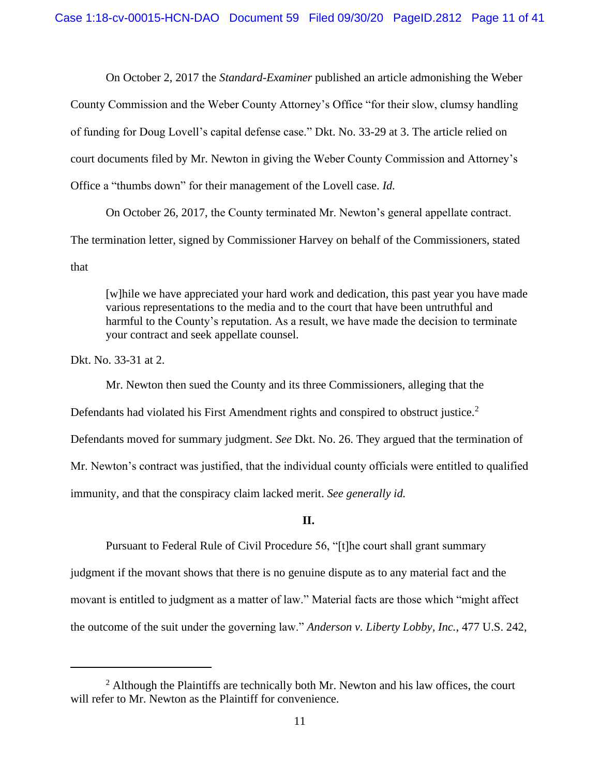On October 2, 2017 the *Standard-Examiner* published an article admonishing the Weber County Commission and the Weber County Attorney's Office "for their slow, clumsy handling of funding for Doug Lovell's capital defense case." Dkt. No. 33-29 at 3. The article relied on court documents filed by Mr. Newton in giving the Weber County Commission and Attorney's Office a "thumbs down" for their management of the Lovell case. *Id.* 

On October 26, 2017, the County terminated Mr. Newton's general appellate contract. The termination letter, signed by Commissioner Harvey on behalf of the Commissioners, stated that

[w]hile we have appreciated your hard work and dedication, this past year you have made various representations to the media and to the court that have been untruthful and harmful to the County's reputation. As a result, we have made the decision to terminate your contract and seek appellate counsel.

Dkt. No. 33-31 at 2.

Mr. Newton then sued the County and its three Commissioners, alleging that the Defendants had violated his First Amendment rights and conspired to obstruct justice.<sup>2</sup> Defendants moved for summary judgment. *See* Dkt. No. 26. They argued that the termination of Mr. Newton's contract was justified, that the individual county officials were entitled to qualified immunity, and that the conspiracy claim lacked merit. *See generally id.*

# **II.**

Pursuant to Federal Rule of Civil Procedure 56, "[t]he court shall grant summary judgment if the movant shows that there is no genuine dispute as to any material fact and the movant is entitled to judgment as a matter of law." Material facts are those which "might affect the outcome of the suit under the governing law." *Anderson v. Liberty Lobby, Inc.*, 477 U.S. 242,

 $2$  Although the Plaintiffs are technically both Mr. Newton and his law offices, the court will refer to Mr. Newton as the Plaintiff for convenience.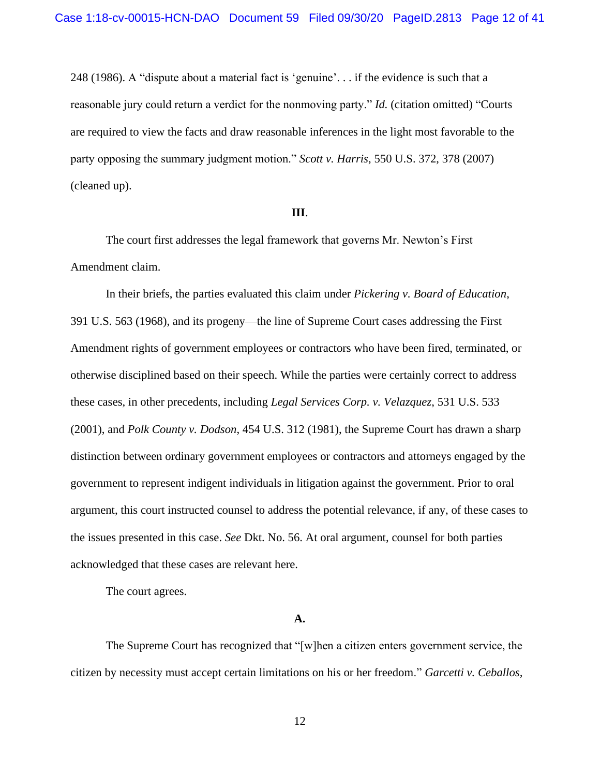248 (1986). A "dispute about a material fact is 'genuine'. . . if the evidence is such that a reasonable jury could return a verdict for the nonmoving party." *Id.* (citation omitted) "Courts are required to view the facts and draw reasonable inferences in the light most favorable to the party opposing the summary judgment motion." *Scott v. Harris*, 550 U.S. 372, 378 (2007) (cleaned up).

## **III**.

The court first addresses the legal framework that governs Mr. Newton's First Amendment claim.

In their briefs, the parties evaluated this claim under *Pickering v. Board of Education*, 391 U.S. 563 (1968), and its progeny—the line of Supreme Court cases addressing the First Amendment rights of government employees or contractors who have been fired, terminated, or otherwise disciplined based on their speech. While the parties were certainly correct to address these cases, in other precedents, including *Legal Services Corp. v. Velazquez*, 531 U.S. 533 (2001), and *Polk County v. Dodson*, 454 U.S. 312 (1981), the Supreme Court has drawn a sharp distinction between ordinary government employees or contractors and attorneys engaged by the government to represent indigent individuals in litigation against the government. Prior to oral argument, this court instructed counsel to address the potential relevance, if any, of these cases to the issues presented in this case. *See* Dkt. No. 56. At oral argument, counsel for both parties acknowledged that these cases are relevant here.

The court agrees.

#### **A.**

The Supreme Court has recognized that "[w]hen a citizen enters government service, the citizen by necessity must accept certain limitations on his or her freedom." *Garcetti v. Ceballos,*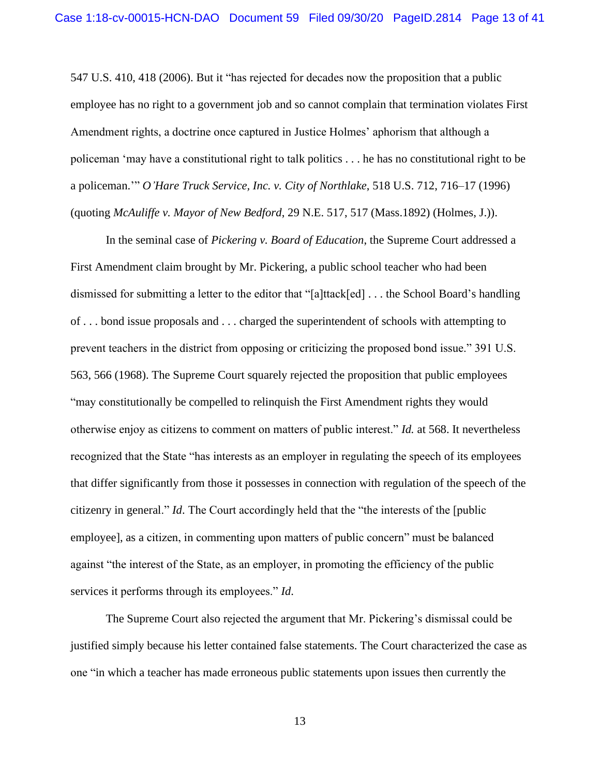547 U.S. 410, 418 (2006). But it "has rejected for decades now the proposition that a public employee has no right to a government job and so cannot complain that termination violates First Amendment rights, a doctrine once captured in Justice Holmes' aphorism that although a policeman 'may have a constitutional right to talk politics . . . he has no constitutional right to be a policeman.'" *O'Hare Truck Service, Inc. v. City of Northlake*, 518 U.S. 712, 716–17 (1996) (quoting *McAuliffe v. Mayor of New Bedford*, 29 N.E. 517, 517 (Mass.1892) (Holmes, J.)).

In the seminal case of *Pickering v. Board of Education*, the Supreme Court addressed a First Amendment claim brought by Mr. Pickering, a public school teacher who had been dismissed for submitting a letter to the editor that "[a]ttack[ed] . . . the School Board's handling of . . . bond issue proposals and . . . charged the superintendent of schools with attempting to prevent teachers in the district from opposing or criticizing the proposed bond issue." 391 U.S. 563, 566 (1968). The Supreme Court squarely rejected the proposition that public employees "may constitutionally be compelled to relinquish the First Amendment rights they would otherwise enjoy as citizens to comment on matters of public interest." *Id.* at 568. It nevertheless recognized that the State "has interests as an employer in regulating the speech of its employees that differ significantly from those it possesses in connection with regulation of the speech of the citizenry in general." *Id*. The Court accordingly held that the "the interests of the [public employee], as a citizen, in commenting upon matters of public concern" must be balanced against "the interest of the State, as an employer, in promoting the efficiency of the public services it performs through its employees." *Id*.

The Supreme Court also rejected the argument that Mr. Pickering's dismissal could be justified simply because his letter contained false statements. The Court characterized the case as one "in which a teacher has made erroneous public statements upon issues then currently the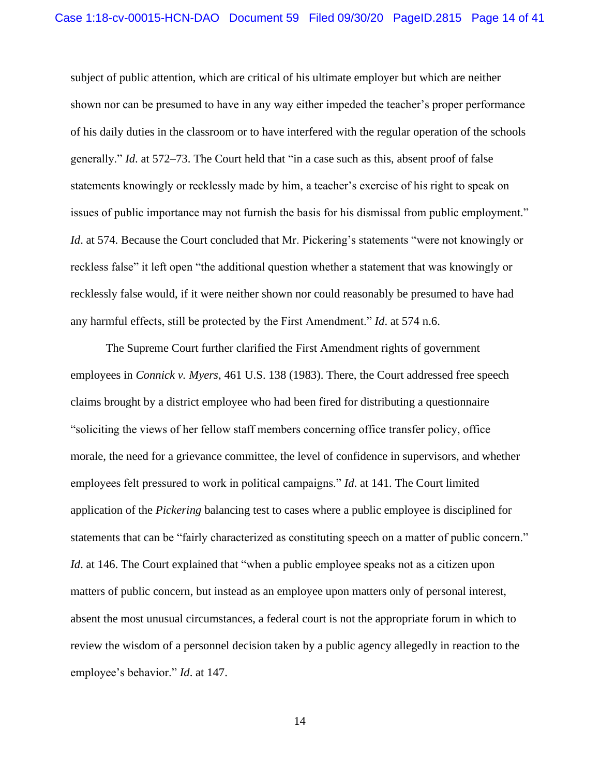subject of public attention, which are critical of his ultimate employer but which are neither shown nor can be presumed to have in any way either impeded the teacher's proper performance of his daily duties in the classroom or to have interfered with the regular operation of the schools generally." *Id*. at 572–73. The Court held that "in a case such as this, absent proof of false statements knowingly or recklessly made by him, a teacher's exercise of his right to speak on issues of public importance may not furnish the basis for his dismissal from public employment." *Id.* at 574. Because the Court concluded that Mr. Pickering's statements "were not knowingly or reckless false" it left open "the additional question whether a statement that was knowingly or recklessly false would, if it were neither shown nor could reasonably be presumed to have had any harmful effects, still be protected by the First Amendment." *Id*. at 574 n.6.

The Supreme Court further clarified the First Amendment rights of government employees in *Connick v. Myers*, 461 U.S. 138 (1983). There, the Court addressed free speech claims brought by a district employee who had been fired for distributing a questionnaire "soliciting the views of her fellow staff members concerning office transfer policy, office morale, the need for a grievance committee, the level of confidence in supervisors, and whether employees felt pressured to work in political campaigns." *Id*. at 141. The Court limited application of the *Pickering* balancing test to cases where a public employee is disciplined for statements that can be "fairly characterized as constituting speech on a matter of public concern." *Id.* at 146. The Court explained that "when a public employee speaks not as a citizen upon matters of public concern, but instead as an employee upon matters only of personal interest, absent the most unusual circumstances, a federal court is not the appropriate forum in which to review the wisdom of a personnel decision taken by a public agency allegedly in reaction to the employee's behavior." *Id*. at 147.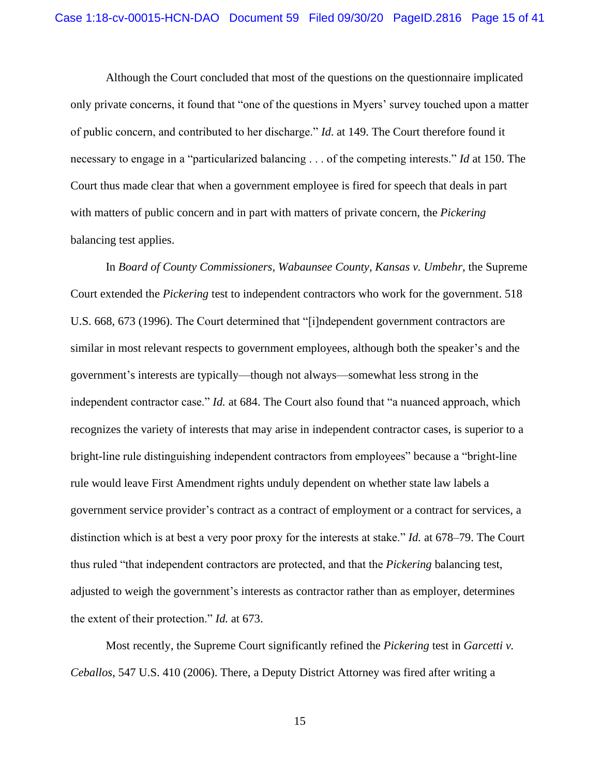Although the Court concluded that most of the questions on the questionnaire implicated only private concerns, it found that "one of the questions in Myers' survey touched upon a matter of public concern, and contributed to her discharge." *Id*. at 149. The Court therefore found it necessary to engage in a "particularized balancing . . . of the competing interests." *Id* at 150. The Court thus made clear that when a government employee is fired for speech that deals in part with matters of public concern and in part with matters of private concern, the *Pickering* balancing test applies.

In *Board of County Commissioners, Wabaunsee County, Kansas v. Umbehr*, the Supreme Court extended the *Pickering* test to independent contractors who work for the government. 518 U.S. 668, 673 (1996). The Court determined that "[i]ndependent government contractors are similar in most relevant respects to government employees, although both the speaker's and the government's interests are typically—though not always—somewhat less strong in the independent contractor case." *Id.* at 684. The Court also found that "a nuanced approach, which recognizes the variety of interests that may arise in independent contractor cases, is superior to a bright-line rule distinguishing independent contractors from employees" because a "bright-line rule would leave First Amendment rights unduly dependent on whether state law labels a government service provider's contract as a contract of employment or a contract for services, a distinction which is at best a very poor proxy for the interests at stake." *Id.* at 678–79. The Court thus ruled "that independent contractors are protected, and that the *Pickering* balancing test, adjusted to weigh the government's interests as contractor rather than as employer, determines the extent of their protection." *Id.* at 673.

Most recently, the Supreme Court significantly refined the *Pickering* test in *Garcetti v. Ceballos*, 547 U.S. 410 (2006). There, a Deputy District Attorney was fired after writing a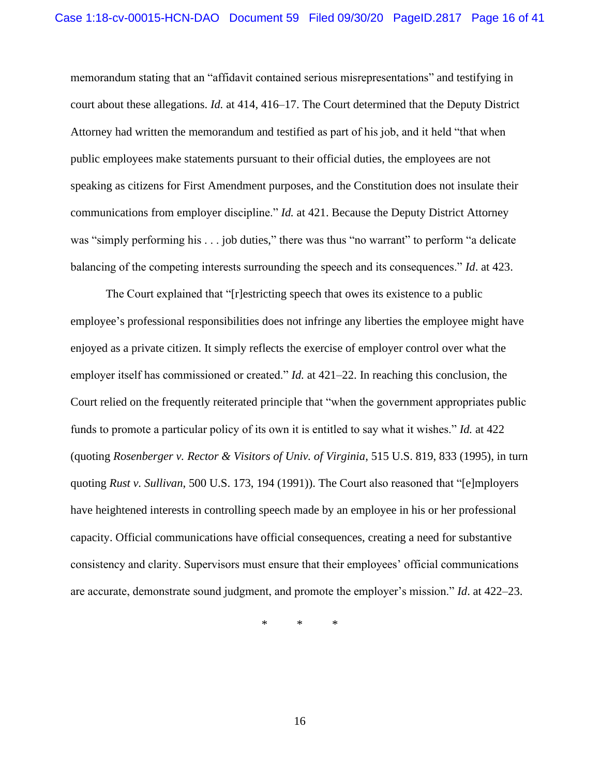memorandum stating that an "affidavit contained serious misrepresentations" and testifying in court about these allegations. *Id.* at 414, 416–17. The Court determined that the Deputy District Attorney had written the memorandum and testified as part of his job, and it held "that when public employees make statements pursuant to their official duties, the employees are not speaking as citizens for First Amendment purposes, and the Constitution does not insulate their communications from employer discipline." *Id.* at 421. Because the Deputy District Attorney was "simply performing his . . . job duties," there was thus "no warrant" to perform "a delicate balancing of the competing interests surrounding the speech and its consequences." *Id*. at 423.

The Court explained that "[r]estricting speech that owes its existence to a public employee's professional responsibilities does not infringe any liberties the employee might have enjoyed as a private citizen. It simply reflects the exercise of employer control over what the employer itself has commissioned or created." *Id.* at 421–22. In reaching this conclusion, the Court relied on the frequently reiterated principle that "when the government appropriates public funds to promote a particular policy of its own it is entitled to say what it wishes." *Id.* at 422 (quoting *Rosenberger v. Rector & Visitors of Univ. of Virginia*, 515 U.S. 819, 833 (1995), in turn quoting *Rust v. Sullivan*, 500 U.S. 173, 194 (1991)). The Court also reasoned that "[e]mployers have heightened interests in controlling speech made by an employee in his or her professional capacity. Official communications have official consequences, creating a need for substantive consistency and clarity. Supervisors must ensure that their employees' official communications are accurate, demonstrate sound judgment, and promote the employer's mission." *Id*. at 422–23.

\* \* \*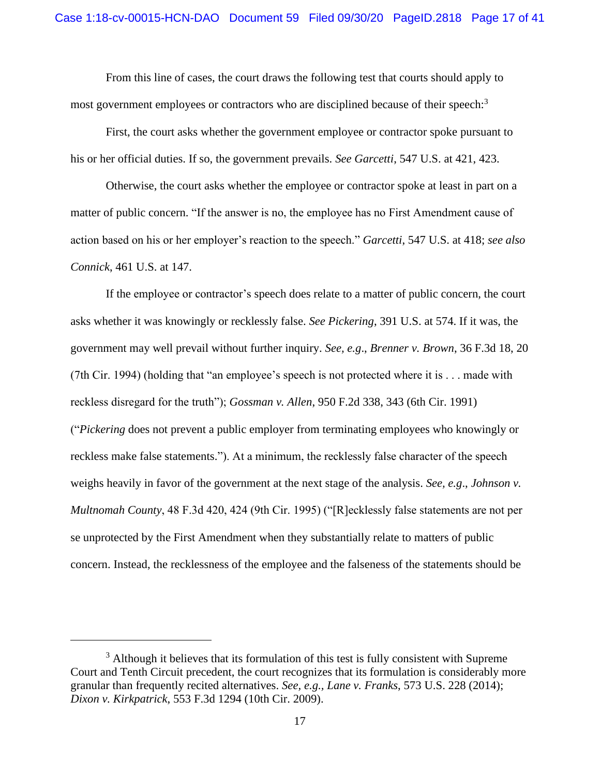From this line of cases, the court draws the following test that courts should apply to most government employees or contractors who are disciplined because of their speech:<sup>3</sup>

First, the court asks whether the government employee or contractor spoke pursuant to his or her official duties. If so, the government prevails. *See Garcetti*, 547 U.S. at 421, 423.

Otherwise, the court asks whether the employee or contractor spoke at least in part on a matter of public concern. "If the answer is no, the employee has no First Amendment cause of action based on his or her employer's reaction to the speech." *Garcetti*, 547 U.S. at 418; *see also Connick*, 461 U.S. at 147.

If the employee or contractor's speech does relate to a matter of public concern, the court asks whether it was knowingly or recklessly false. *See Pickering*, 391 U.S. at 574. If it was, the government may well prevail without further inquiry. *See, e.g*., *Brenner v. Brown*, 36 F.3d 18, 20 (7th Cir. 1994) (holding that "an employee's speech is not protected where it is . . . made with reckless disregard for the truth"); *Gossman v. Allen*, 950 F.2d 338, 343 (6th Cir. 1991) ("*Pickering* does not prevent a public employer from terminating employees who knowingly or reckless make false statements."). At a minimum, the recklessly false character of the speech weighs heavily in favor of the government at the next stage of the analysis. *See, e.g*., *Johnson v. Multnomah County*, 48 F.3d 420, 424 (9th Cir. 1995) ("[R]ecklessly false statements are not per se unprotected by the First Amendment when they substantially relate to matters of public concern. Instead, the recklessness of the employee and the falseness of the statements should be

 $3$  Although it believes that its formulation of this test is fully consistent with Supreme Court and Tenth Circuit precedent, the court recognizes that its formulation is considerably more granular than frequently recited alternatives. *See, e.g., Lane v. Franks*, 573 U.S. 228 (2014); *Dixon v. Kirkpatrick*, 553 F.3d 1294 (10th Cir. 2009).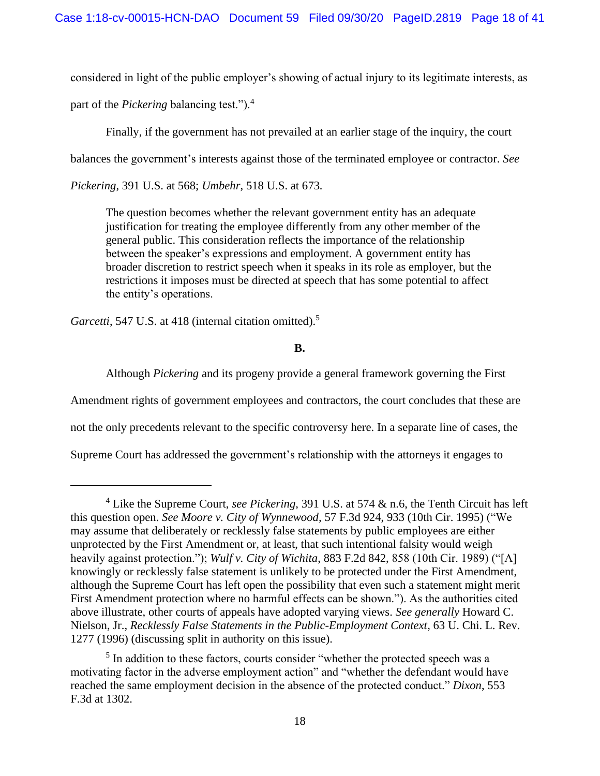considered in light of the public employer's showing of actual injury to its legitimate interests, as

part of the *Pickering* balancing test.").<sup>4</sup>

Finally, if the government has not prevailed at an earlier stage of the inquiry, the court

balances the government's interests against those of the terminated employee or contractor. *See*

*Pickering*, 391 U.S. at 568; *Umbehr*, 518 U.S. at 673*.* 

The question becomes whether the relevant government entity has an adequate justification for treating the employee differently from any other member of the general public. This consideration reflects the importance of the relationship between the speaker's expressions and employment. A government entity has broader discretion to restrict speech when it speaks in its role as employer, but the restrictions it imposes must be directed at speech that has some potential to affect the entity's operations.

Garcetti, 547 U.S. at 418 (internal citation omitted).<sup>5</sup>

**B.**

Although *Pickering* and its progeny provide a general framework governing the First

Amendment rights of government employees and contractors, the court concludes that these are

not the only precedents relevant to the specific controversy here. In a separate line of cases, the

Supreme Court has addressed the government's relationship with the attorneys it engages to

<sup>4</sup> Like the Supreme Court, *see Pickering*, 391 U.S. at 574 & n.6, the Tenth Circuit has left this question open. *See Moore v. City of Wynnewood,* 57 F.3d 924, 933 (10th Cir. 1995) ("We may assume that deliberately or recklessly false statements by public employees are either unprotected by the First Amendment or, at least, that such intentional falsity would weigh heavily against protection."); *Wulf v. City of Wichita*, 883 F.2d 842, 858 (10th Cir. 1989) ("[A] knowingly or recklessly false statement is unlikely to be protected under the First Amendment, although the Supreme Court has left open the possibility that even such a statement might merit First Amendment protection where no harmful effects can be shown."). As the authorities cited above illustrate, other courts of appeals have adopted varying views. *See generally* Howard C. Nielson, Jr., *Recklessly False Statements in the Public-Employment Context*, 63 U. Chi. L. Rev. 1277 (1996) (discussing split in authority on this issue).

<sup>&</sup>lt;sup>5</sup> In addition to these factors, courts consider "whether the protected speech was a motivating factor in the adverse employment action" and "whether the defendant would have reached the same employment decision in the absence of the protected conduct." *Dixon*, 553 F.3d at 1302.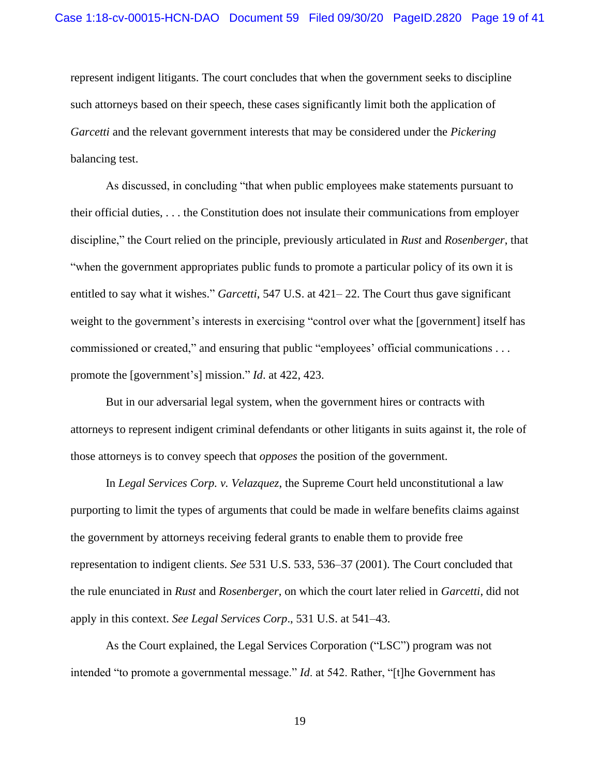represent indigent litigants. The court concludes that when the government seeks to discipline such attorneys based on their speech, these cases significantly limit both the application of *Garcetti* and the relevant government interests that may be considered under the *Pickering* balancing test.

As discussed, in concluding "that when public employees make statements pursuant to their official duties, . . . the Constitution does not insulate their communications from employer discipline," the Court relied on the principle, previously articulated in *Rust* and *Rosenberger*, that "when the government appropriates public funds to promote a particular policy of its own it is entitled to say what it wishes." *Garcetti*, 547 U.S. at 421– 22. The Court thus gave significant weight to the government's interests in exercising "control over what the [government] itself has commissioned or created," and ensuring that public "employees' official communications . . . promote the [government's] mission." *Id*. at 422, 423.

But in our adversarial legal system, when the government hires or contracts with attorneys to represent indigent criminal defendants or other litigants in suits against it, the role of those attorneys is to convey speech that *opposes* the position of the government.

In *Legal Services Corp. v. Velazquez*, the Supreme Court held unconstitutional a law purporting to limit the types of arguments that could be made in welfare benefits claims against the government by attorneys receiving federal grants to enable them to provide free representation to indigent clients. *See* 531 U.S. 533, 536–37 (2001). The Court concluded that the rule enunciated in *Rust* and *Rosenberger*, on which the court later relied in *Garcetti*, did not apply in this context. *See Legal Services Corp*., 531 U.S. at 541–43.

As the Court explained, the Legal Services Corporation ("LSC") program was not intended "to promote a governmental message." *Id*. at 542. Rather, "[t]he Government has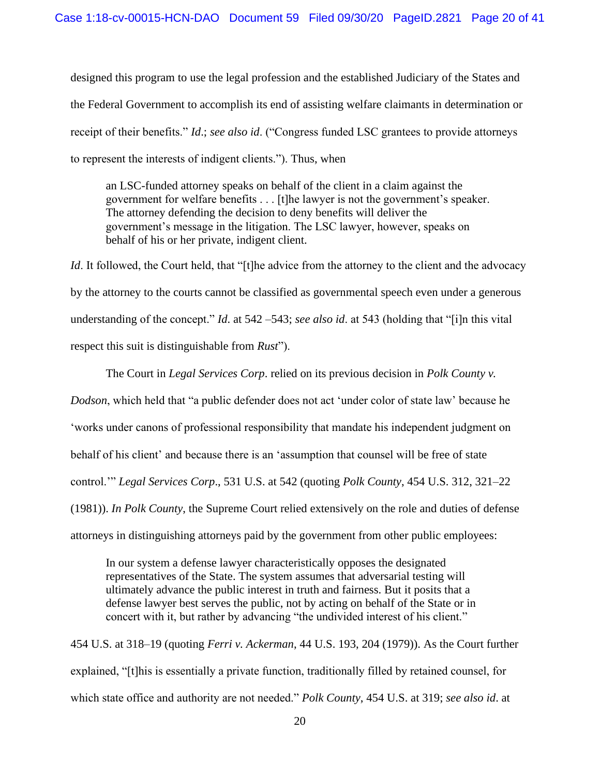designed this program to use the legal profession and the established Judiciary of the States and the Federal Government to accomplish its end of assisting welfare claimants in determination or receipt of their benefits." *Id*.; *see also id*. ("Congress funded LSC grantees to provide attorneys to represent the interests of indigent clients."). Thus, when

an LSC-funded attorney speaks on behalf of the client in a claim against the government for welfare benefits . . . [t]he lawyer is not the government's speaker. The attorney defending the decision to deny benefits will deliver the government's message in the litigation. The LSC lawyer, however, speaks on behalf of his or her private, indigent client.

*Id*. It followed, the Court held, that "[t]he advice from the attorney to the client and the advocacy by the attorney to the courts cannot be classified as governmental speech even under a generous understanding of the concept." *Id*. at 542 –543; *see also id*. at 543 (holding that "[i]n this vital respect this suit is distinguishable from *Rust*").

The Court in *Legal Services Corp*. relied on its previous decision in *Polk County v. Dodson*, which held that "a public defender does not act 'under color of state law' because he 'works under canons of professional responsibility that mandate his independent judgment on behalf of his client' and because there is an 'assumption that counsel will be free of state control.'" *Legal Services Corp*., 531 U.S. at 542 (quoting *Polk County*, 454 U.S. 312, 321–22 (1981)). *In Polk County*, the Supreme Court relied extensively on the role and duties of defense attorneys in distinguishing attorneys paid by the government from other public employees:

In our system a defense lawyer characteristically opposes the designated representatives of the State. The system assumes that adversarial testing will ultimately advance the public interest in truth and fairness. But it posits that a defense lawyer best serves the public, not by acting on behalf of the State or in concert with it, but rather by advancing "the undivided interest of his client."

454 U.S. at 318–19 (quoting *Ferri v. Ackerman*, 44 U.S. 193, 204 (1979)). As the Court further explained, "[t]his is essentially a private function, traditionally filled by retained counsel, for which state office and authority are not needed." *Polk County*, 454 U.S. at 319; *see also id*. at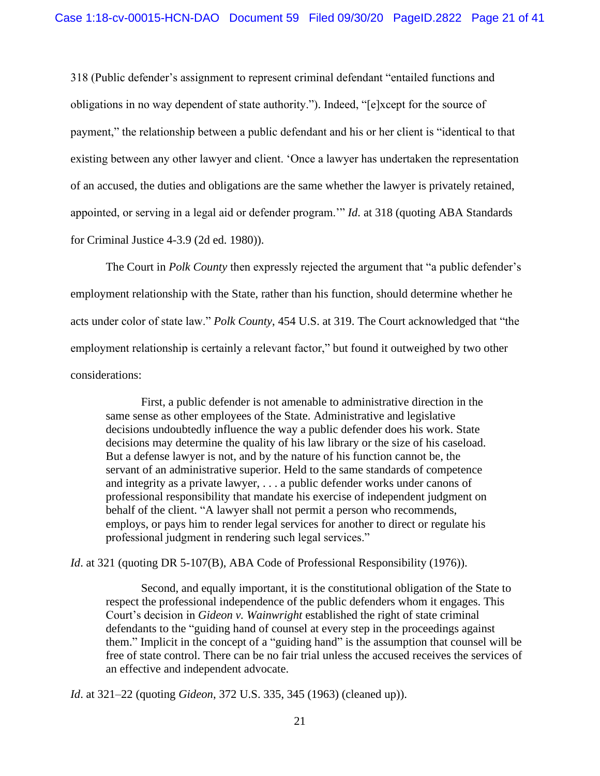318 (Public defender's assignment to represent criminal defendant "entailed functions and obligations in no way dependent of state authority."). Indeed, "[e]xcept for the source of payment," the relationship between a public defendant and his or her client is "identical to that existing between any other lawyer and client. 'Once a lawyer has undertaken the representation of an accused, the duties and obligations are the same whether the lawyer is privately retained, appointed, or serving in a legal aid or defender program.'" *Id*. at 318 (quoting ABA Standards for Criminal Justice 4-3.9 (2d ed. 1980)).

The Court in *Polk County* then expressly rejected the argument that "a public defender's employment relationship with the State, rather than his function, should determine whether he acts under color of state law." *Polk County*, 454 U.S. at 319. The Court acknowledged that "the employment relationship is certainly a relevant factor," but found it outweighed by two other considerations:

First, a public defender is not amenable to administrative direction in the same sense as other employees of the State. Administrative and legislative decisions undoubtedly influence the way a public defender does his work. State decisions may determine the quality of his law library or the size of his caseload. But a defense lawyer is not, and by the nature of his function cannot be, the servant of an administrative superior. Held to the same standards of competence and integrity as a private lawyer, . . . a public defender works under canons of professional responsibility that mandate his exercise of independent judgment on behalf of the client. "A lawyer shall not permit a person who recommends, employs, or pays him to render legal services for another to direct or regulate his professional judgment in rendering such legal services."

*Id.* at 321 (quoting DR 5-107(B), ABA Code of Professional Responsibility (1976)).

Second, and equally important, it is the constitutional obligation of the State to respect the professional independence of the public defenders whom it engages. This Court's decision in *Gideon v. Wainwright* established the right of state criminal defendants to the "guiding hand of counsel at every step in the proceedings against them." Implicit in the concept of a "guiding hand" is the assumption that counsel will be free of state control. There can be no fair trial unless the accused receives the services of an effective and independent advocate.

*Id*. at 321–22 (quoting *Gideon*, 372 U.S. 335, 345 (1963) (cleaned up)).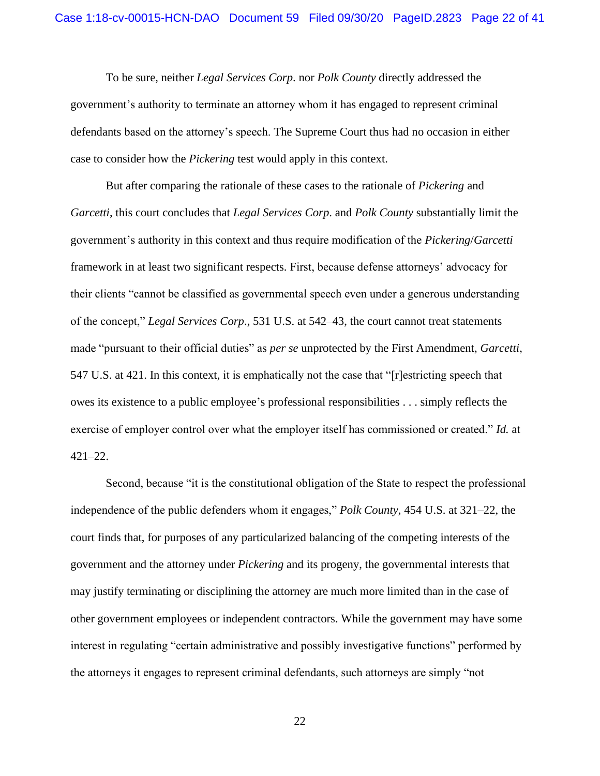To be sure, neither *Legal Services Corp*. nor *Polk County* directly addressed the government's authority to terminate an attorney whom it has engaged to represent criminal defendants based on the attorney's speech. The Supreme Court thus had no occasion in either case to consider how the *Pickering* test would apply in this context.

But after comparing the rationale of these cases to the rationale of *Pickering* and *Garcetti*, this court concludes that *Legal Services Corp*. and *Polk County* substantially limit the government's authority in this context and thus require modification of the *Pickering*/*Garcetti* framework in at least two significant respects. First, because defense attorneys' advocacy for their clients "cannot be classified as governmental speech even under a generous understanding of the concept," *Legal Services Corp*., 531 U.S. at 542–43, the court cannot treat statements made "pursuant to their official duties" as *per se* unprotected by the First Amendment, *Garcetti*, 547 U.S. at 421. In this context, it is emphatically not the case that "[r]estricting speech that owes its existence to a public employee's professional responsibilities . . . simply reflects the exercise of employer control over what the employer itself has commissioned or created." *Id.* at 421–22.

Second, because "it is the constitutional obligation of the State to respect the professional independence of the public defenders whom it engages," *Polk County*, 454 U.S. at 321–22, the court finds that, for purposes of any particularized balancing of the competing interests of the government and the attorney under *Pickering* and its progeny, the governmental interests that may justify terminating or disciplining the attorney are much more limited than in the case of other government employees or independent contractors. While the government may have some interest in regulating "certain administrative and possibly investigative functions" performed by the attorneys it engages to represent criminal defendants, such attorneys are simply "not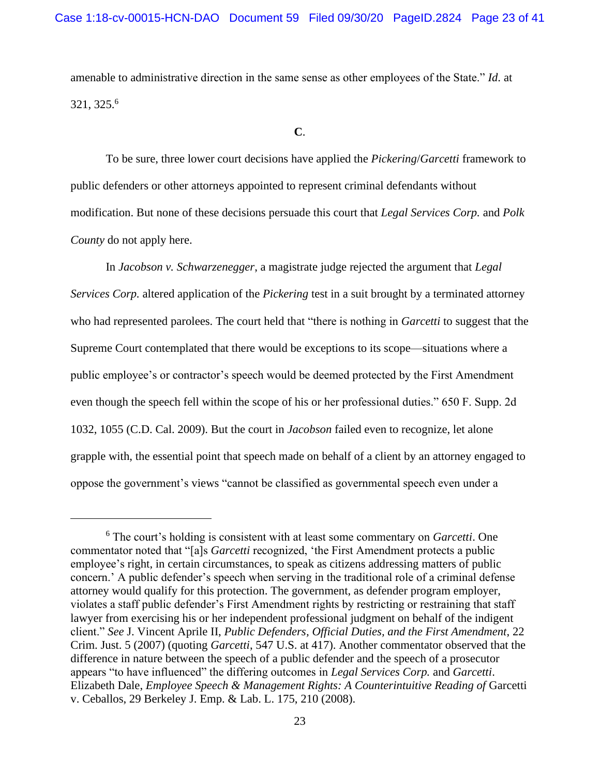amenable to administrative direction in the same sense as other employees of the State." *Id*. at 321, 325.<sup>6</sup>

**C**.

To be sure, three lower court decisions have applied the *Pickering*/*Garcetti* framework to public defenders or other attorneys appointed to represent criminal defendants without modification. But none of these decisions persuade this court that *Legal Services Corp.* and *Polk County* do not apply here.

In *Jacobson v. Schwarzenegger*, a magistrate judge rejected the argument that *Legal Services Corp.* altered application of the *Pickering* test in a suit brought by a terminated attorney who had represented parolees. The court held that "there is nothing in *Garcetti* to suggest that the Supreme Court contemplated that there would be exceptions to its scope—situations where a public employee's or contractor's speech would be deemed protected by the First Amendment even though the speech fell within the scope of his or her professional duties." 650 F. Supp. 2d 1032, 1055 (C.D. Cal. 2009). But the court in *Jacobson* failed even to recognize, let alone grapple with, the essential point that speech made on behalf of a client by an attorney engaged to oppose the government's views "cannot be classified as governmental speech even under a

<sup>6</sup> The court's holding is consistent with at least some commentary on *Garcetti*. One commentator noted that "[a]s *Garcetti* recognized, 'the First Amendment protects a public employee's right, in certain circumstances, to speak as citizens addressing matters of public concern.' A public defender's speech when serving in the traditional role of a criminal defense attorney would qualify for this protection. The government, as defender program employer, violates a staff public defender's First Amendment rights by restricting or restraining that staff lawyer from exercising his or her independent professional judgment on behalf of the indigent client." *See* J. Vincent Aprile II, *Public Defenders, Official Duties, and the First Amendment*, 22 Crim. Just. 5 (2007) (quoting *Garcetti*, 547 U.S. at 417). Another commentator observed that the difference in nature between the speech of a public defender and the speech of a prosecutor appears "to have influenced" the differing outcomes in *Legal Services Corp.* and *Garcetti*. Elizabeth Dale, *Employee Speech & Management Rights: A Counterintuitive Reading of* Garcetti v. Ceballos, 29 Berkeley J. Emp. & Lab. L. 175, 210 (2008).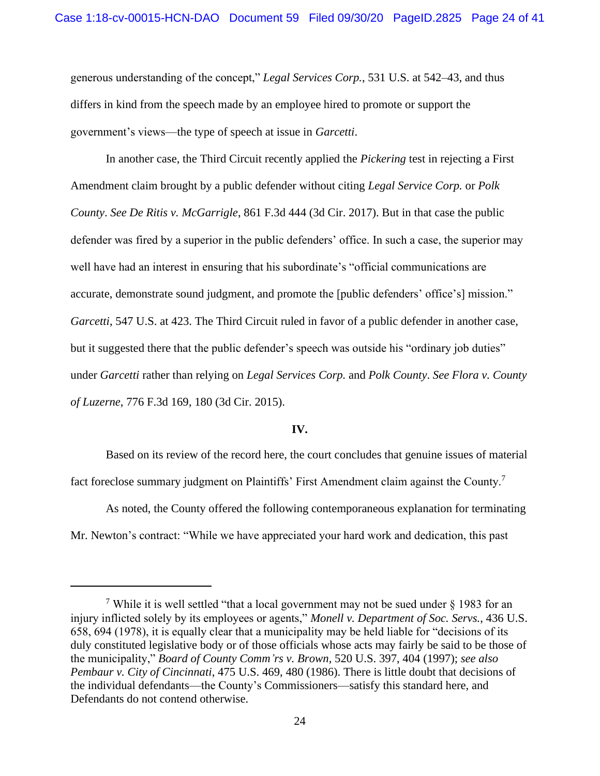generous understanding of the concept," *Legal Services Corp.*, 531 U.S. at 542–43, and thus differs in kind from the speech made by an employee hired to promote or support the government's views—the type of speech at issue in *Garcetti*.

In another case, the Third Circuit recently applied the *Pickering* test in rejecting a First Amendment claim brought by a public defender without citing *Legal Service Corp.* or *Polk County*. *See De Ritis v. McGarrigle*, 861 F.3d 444 (3d Cir. 2017). But in that case the public defender was fired by a superior in the public defenders' office. In such a case, the superior may well have had an interest in ensuring that his subordinate's "official communications are accurate, demonstrate sound judgment, and promote the [public defenders' office's] mission." *Garcetti*, 547 U.S. at 423. The Third Circuit ruled in favor of a public defender in another case, but it suggested there that the public defender's speech was outside his "ordinary job duties" under *Garcetti* rather than relying on *Legal Services Corp.* and *Polk County*. *See Flora v. County of Luzerne*, 776 F.3d 169, 180 (3d Cir. 2015).

## **IV.**

Based on its review of the record here, the court concludes that genuine issues of material fact foreclose summary judgment on Plaintiffs' First Amendment claim against the County.<sup>7</sup>

As noted, the County offered the following contemporaneous explanation for terminating Mr. Newton's contract: "While we have appreciated your hard work and dedication, this past

<sup>&</sup>lt;sup>7</sup> While it is well settled "that a local government may not be sued under  $\delta$  1983 for an injury inflicted solely by its employees or agents," *Monell v. Department of Soc. Servs.*, 436 U.S. 658, 694 (1978), it is equally clear that a municipality may be held liable for "decisions of its duly constituted legislative body or of those officials whose acts may fairly be said to be those of the municipality," *Board of County Comm'rs v. Brown*, 520 U.S. 397, 404 (1997); *see also Pembaur v. City of Cincinnati*, 475 U.S. 469, 480 (1986). There is little doubt that decisions of the individual defendants—the County's Commissioners—satisfy this standard here, and Defendants do not contend otherwise.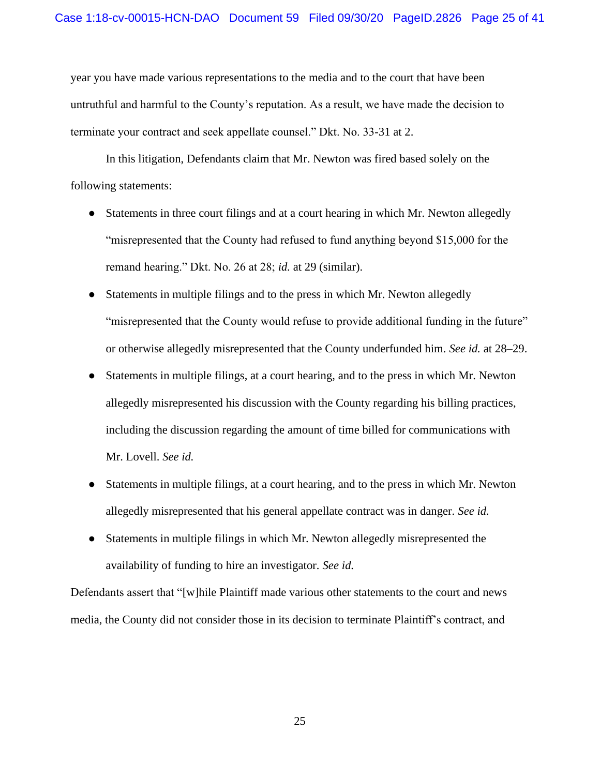year you have made various representations to the media and to the court that have been untruthful and harmful to the County's reputation. As a result, we have made the decision to terminate your contract and seek appellate counsel." Dkt. No. 33-31 at 2.

In this litigation, Defendants claim that Mr. Newton was fired based solely on the following statements:

- Statements in three court filings and at a court hearing in which Mr. Newton allegedly "misrepresented that the County had refused to fund anything beyond \$15,000 for the remand hearing." Dkt. No. 26 at 28; *id.* at 29 (similar).
- Statements in multiple filings and to the press in which Mr. Newton allegedly "misrepresented that the County would refuse to provide additional funding in the future" or otherwise allegedly misrepresented that the County underfunded him. *See id.* at 28–29.
- Statements in multiple filings, at a court hearing, and to the press in which Mr. Newton allegedly misrepresented his discussion with the County regarding his billing practices, including the discussion regarding the amount of time billed for communications with Mr. Lovell. *See id.*
- Statements in multiple filings, at a court hearing, and to the press in which Mr. Newton allegedly misrepresented that his general appellate contract was in danger. *See id.*
- Statements in multiple filings in which Mr. Newton allegedly misrepresented the availability of funding to hire an investigator. *See id.*

Defendants assert that "[w]hile Plaintiff made various other statements to the court and news media, the County did not consider those in its decision to terminate Plaintiff's contract, and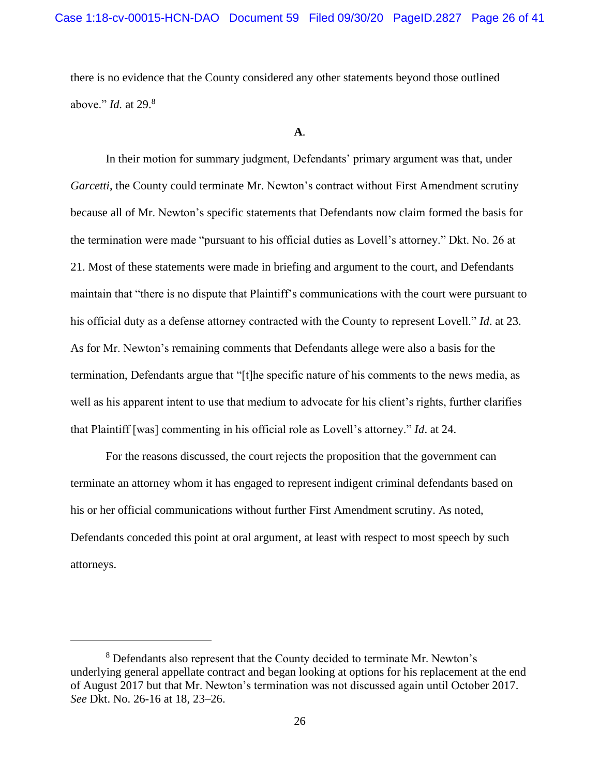there is no evidence that the County considered any other statements beyond those outlined above." *Id.* at 29. 8

**A**.

In their motion for summary judgment, Defendants' primary argument was that, under *Garcetti*, the County could terminate Mr. Newton's contract without First Amendment scrutiny because all of Mr. Newton's specific statements that Defendants now claim formed the basis for the termination were made "pursuant to his official duties as Lovell's attorney." Dkt. No. 26 at 21. Most of these statements were made in briefing and argument to the court, and Defendants maintain that "there is no dispute that Plaintiff's communications with the court were pursuant to his official duty as a defense attorney contracted with the County to represent Lovell." *Id*. at 23. As for Mr. Newton's remaining comments that Defendants allege were also a basis for the termination, Defendants argue that "[t]he specific nature of his comments to the news media, as well as his apparent intent to use that medium to advocate for his client's rights, further clarifies that Plaintiff [was] commenting in his official role as Lovell's attorney." *Id*. at 24.

For the reasons discussed, the court rejects the proposition that the government can terminate an attorney whom it has engaged to represent indigent criminal defendants based on his or her official communications without further First Amendment scrutiny. As noted, Defendants conceded this point at oral argument, at least with respect to most speech by such attorneys.

<sup>8</sup> Defendants also represent that the County decided to terminate Mr. Newton's underlying general appellate contract and began looking at options for his replacement at the end of August 2017 but that Mr. Newton's termination was not discussed again until October 2017. *See* Dkt. No. 26-16 at 18, 23–26.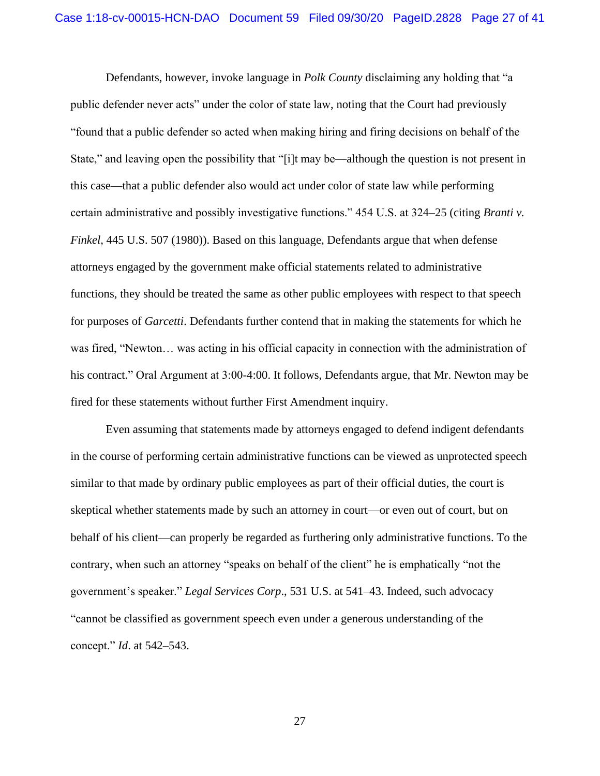Defendants, however, invoke language in *Polk County* disclaiming any holding that "a public defender never acts" under the color of state law, noting that the Court had previously "found that a public defender so acted when making hiring and firing decisions on behalf of the State," and leaving open the possibility that "[i]t may be—although the question is not present in this case—that a public defender also would act under color of state law while performing certain administrative and possibly investigative functions." 454 U.S. at 324–25 (citing *Branti v. Finkel*, 445 U.S. 507 (1980)). Based on this language, Defendants argue that when defense attorneys engaged by the government make official statements related to administrative functions, they should be treated the same as other public employees with respect to that speech for purposes of *Garcetti*. Defendants further contend that in making the statements for which he was fired, "Newton… was acting in his official capacity in connection with the administration of his contract." Oral Argument at 3:00-4:00. It follows, Defendants argue, that Mr. Newton may be fired for these statements without further First Amendment inquiry.

Even assuming that statements made by attorneys engaged to defend indigent defendants in the course of performing certain administrative functions can be viewed as unprotected speech similar to that made by ordinary public employees as part of their official duties, the court is skeptical whether statements made by such an attorney in court—or even out of court, but on behalf of his client—can properly be regarded as furthering only administrative functions. To the contrary, when such an attorney "speaks on behalf of the client" he is emphatically "not the government's speaker." *Legal Services Corp*., 531 U.S. at 541–43. Indeed, such advocacy "cannot be classified as government speech even under a generous understanding of the concept." *Id*. at 542–543.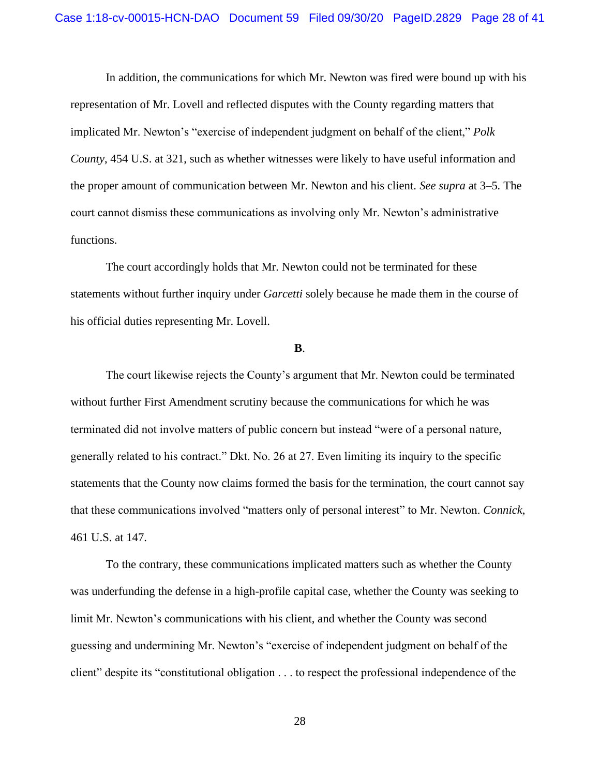In addition, the communications for which Mr. Newton was fired were bound up with his representation of Mr. Lovell and reflected disputes with the County regarding matters that implicated Mr. Newton's "exercise of independent judgment on behalf of the client," *Polk County*, 454 U.S. at 321, such as whether witnesses were likely to have useful information and the proper amount of communication between Mr. Newton and his client. *See supra* at 3–5*.* The court cannot dismiss these communications as involving only Mr. Newton's administrative functions.

The court accordingly holds that Mr. Newton could not be terminated for these statements without further inquiry under *Garcetti* solely because he made them in the course of his official duties representing Mr. Lovell.

#### **B**.

The court likewise rejects the County's argument that Mr. Newton could be terminated without further First Amendment scrutiny because the communications for which he was terminated did not involve matters of public concern but instead "were of a personal nature, generally related to his contract." Dkt. No. 26 at 27. Even limiting its inquiry to the specific statements that the County now claims formed the basis for the termination, the court cannot say that these communications involved "matters only of personal interest" to Mr. Newton. *Connick*, 461 U.S. at 147.

To the contrary, these communications implicated matters such as whether the County was underfunding the defense in a high-profile capital case, whether the County was seeking to limit Mr. Newton's communications with his client, and whether the County was second guessing and undermining Mr. Newton's "exercise of independent judgment on behalf of the client" despite its "constitutional obligation . . . to respect the professional independence of the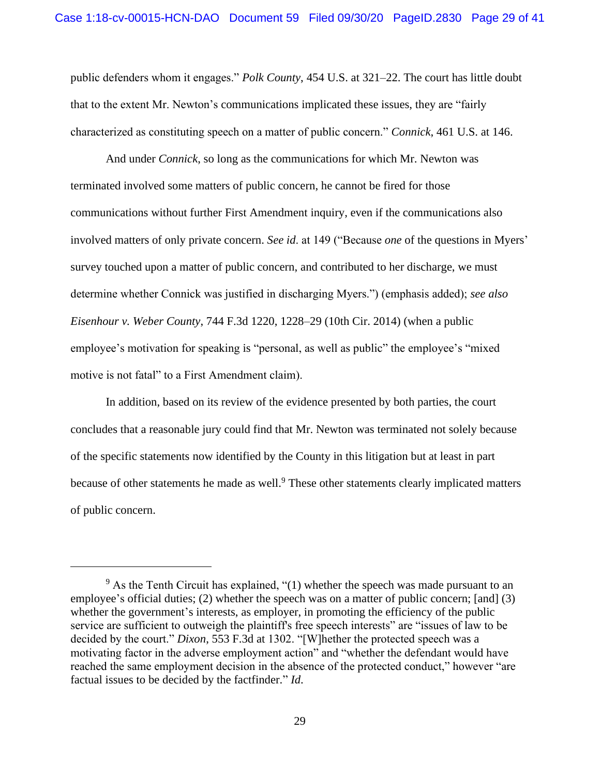public defenders whom it engages." *Polk County*, 454 U.S. at 321–22. The court has little doubt that to the extent Mr. Newton's communications implicated these issues, they are "fairly characterized as constituting speech on a matter of public concern." *Connick*, 461 U.S. at 146.

And under *Connick*, so long as the communications for which Mr. Newton was terminated involved some matters of public concern, he cannot be fired for those communications without further First Amendment inquiry, even if the communications also involved matters of only private concern. *See id*. at 149 ("Because *one* of the questions in Myers' survey touched upon a matter of public concern, and contributed to her discharge, we must determine whether Connick was justified in discharging Myers.") (emphasis added); *see also Eisenhour v. Weber County*, 744 F.3d 1220, 1228–29 (10th Cir. 2014) (when a public employee's motivation for speaking is "personal, as well as public" the employee's "mixed motive is not fatal" to a First Amendment claim).

In addition, based on its review of the evidence presented by both parties, the court concludes that a reasonable jury could find that Mr. Newton was terminated not solely because of the specific statements now identified by the County in this litigation but at least in part because of other statements he made as well.<sup>9</sup> These other statements clearly implicated matters of public concern.

<sup>&</sup>lt;sup>9</sup> As the Tenth Circuit has explained, "(1) whether the speech was made pursuant to an employee's official duties; (2) whether the speech was on a matter of public concern; [and] (3) whether the government's interests, as employer, in promoting the efficiency of the public service are sufficient to outweigh the plaintiff's free speech interests" are "issues of law to be decided by the court." *Dixon*, 553 F.3d at 1302. "[W]hether the protected speech was a motivating factor in the adverse employment action" and "whether the defendant would have reached the same employment decision in the absence of the protected conduct," however "are factual issues to be decided by the factfinder." *Id*.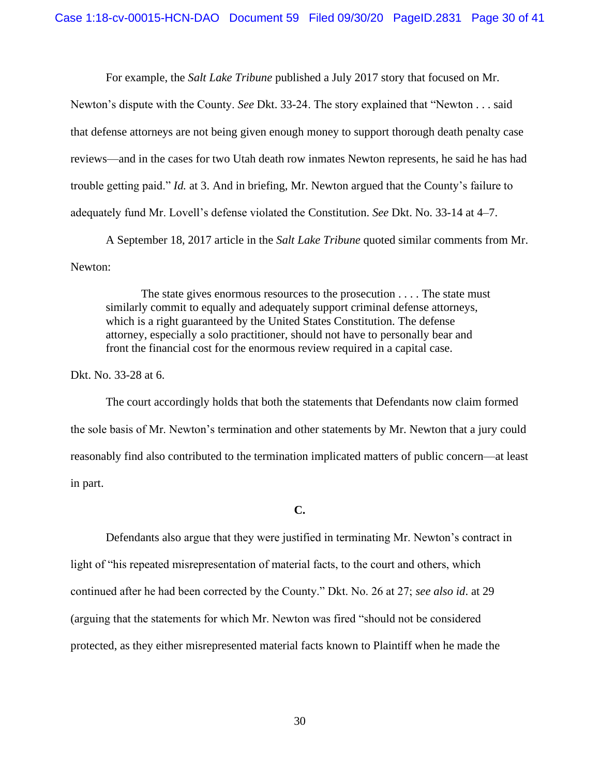For example, the *Salt Lake Tribune* published a July 2017 story that focused on Mr.

Newton's dispute with the County. *See* Dkt. 33-24. The story explained that "Newton . . . said that defense attorneys are not being given enough money to support thorough death penalty case reviews—and in the cases for two Utah death row inmates Newton represents, he said he has had trouble getting paid." *Id.* at 3. And in briefing, Mr. Newton argued that the County's failure to adequately fund Mr. Lovell's defense violated the Constitution. *See* Dkt. No. 33-14 at 4–7.

A September 18, 2017 article in the *Salt Lake Tribune* quoted similar comments from Mr. Newton:

The state gives enormous resources to the prosecution . . . . The state must similarly commit to equally and adequately support criminal defense attorneys, which is a right guaranteed by the United States Constitution. The defense attorney, especially a solo practitioner, should not have to personally bear and front the financial cost for the enormous review required in a capital case.

Dkt. No. 33-28 at 6.

The court accordingly holds that both the statements that Defendants now claim formed the sole basis of Mr. Newton's termination and other statements by Mr. Newton that a jury could reasonably find also contributed to the termination implicated matters of public concern—at least in part.

#### **C.**

Defendants also argue that they were justified in terminating Mr. Newton's contract in light of "his repeated misrepresentation of material facts, to the court and others, which continued after he had been corrected by the County." Dkt. No. 26 at 27; *see also id*. at 29 (arguing that the statements for which Mr. Newton was fired "should not be considered protected, as they either misrepresented material facts known to Plaintiff when he made the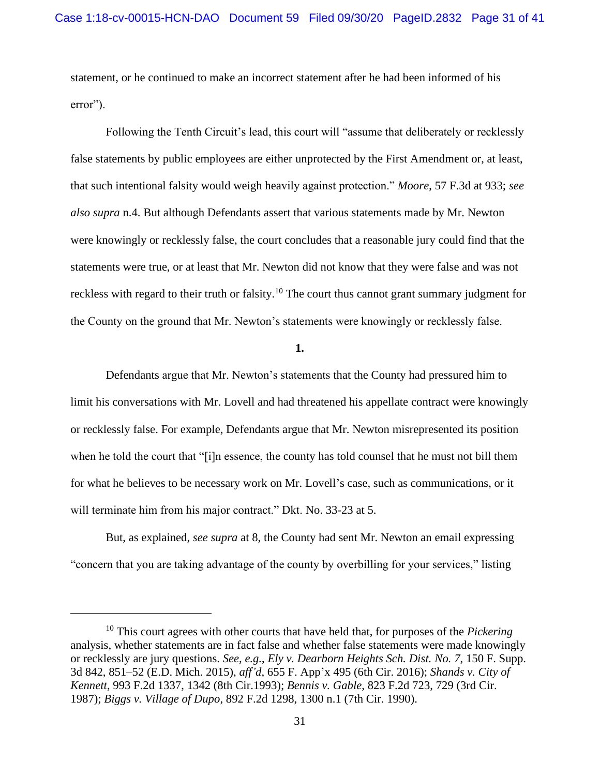statement, or he continued to make an incorrect statement after he had been informed of his error").

Following the Tenth Circuit's lead, this court will "assume that deliberately or recklessly false statements by public employees are either unprotected by the First Amendment or, at least, that such intentional falsity would weigh heavily against protection." *Moore*, 57 F.3d at 933; *see also supra* n.4. But although Defendants assert that various statements made by Mr. Newton were knowingly or recklessly false, the court concludes that a reasonable jury could find that the statements were true, or at least that Mr. Newton did not know that they were false and was not reckless with regard to their truth or falsity.<sup>10</sup> The court thus cannot grant summary judgment for the County on the ground that Mr. Newton's statements were knowingly or recklessly false.

**1.**

Defendants argue that Mr. Newton's statements that the County had pressured him to limit his conversations with Mr. Lovell and had threatened his appellate contract were knowingly or recklessly false. For example, Defendants argue that Mr. Newton misrepresented its position when he told the court that "[i]n essence, the county has told counsel that he must not bill them for what he believes to be necessary work on Mr. Lovell's case, such as communications, or it will terminate him from his major contract." Dkt. No. 33-23 at 5.

But, as explained, *see supra* at 8, the County had sent Mr. Newton an email expressing "concern that you are taking advantage of the county by overbilling for your services," listing

<sup>10</sup> This court agrees with other courts that have held that, for purposes of the *Pickering*  analysis, whether statements are in fact false and whether false statements were made knowingly or recklessly are jury questions. *See, e.g.*, *Ely v. Dearborn Heights Sch. Dist. No. 7*, 150 F. Supp. 3d 842, 851–52 (E.D. Mich. 2015), *aff'd*, 655 F. App'x 495 (6th Cir. 2016); *Shands v. City of Kennett*, 993 F.2d 1337, 1342 (8th Cir.1993); *Bennis v. Gable*, 823 F.2d 723, 729 (3rd Cir. 1987); *Biggs v. Village of Dupo*, 892 F.2d 1298, 1300 n.1 (7th Cir. 1990).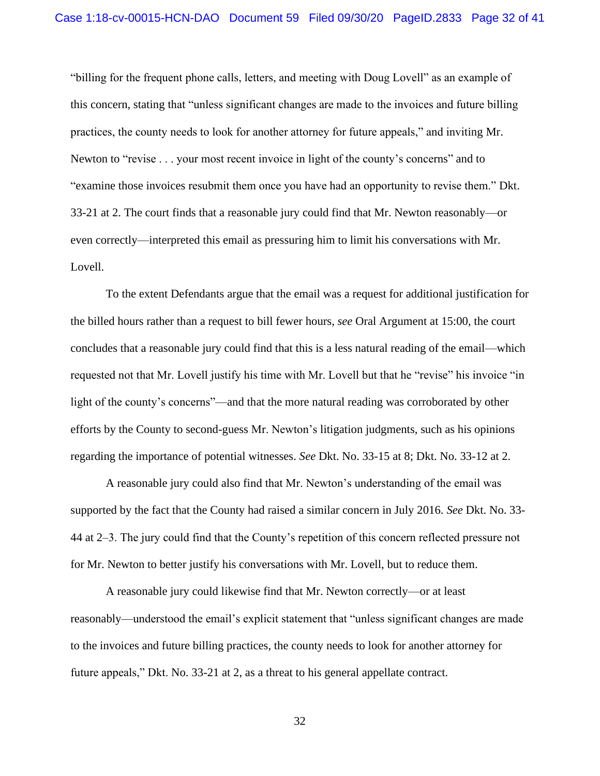"billing for the frequent phone calls, letters, and meeting with Doug Lovell" as an example of this concern, stating that "unless significant changes are made to the invoices and future billing practices, the county needs to look for another attorney for future appeals," and inviting Mr. Newton to "revise . . . your most recent invoice in light of the county's concerns" and to "examine those invoices resubmit them once you have had an opportunity to revise them." Dkt. 33-21 at 2. The court finds that a reasonable jury could find that Mr. Newton reasonably—or even correctly—interpreted this email as pressuring him to limit his conversations with Mr. Lovell.

To the extent Defendants argue that the email was a request for additional justification for the billed hours rather than a request to bill fewer hours, *see* Oral Argument at 15:00, the court concludes that a reasonable jury could find that this is a less natural reading of the email—which requested not that Mr. Lovell justify his time with Mr. Lovell but that he "revise" his invoice "in light of the county's concerns"—and that the more natural reading was corroborated by other efforts by the County to second-guess Mr. Newton's litigation judgments, such as his opinions regarding the importance of potential witnesses. *See* Dkt. No. 33-15 at 8; Dkt. No. 33-12 at 2.

A reasonable jury could also find that Mr. Newton's understanding of the email was supported by the fact that the County had raised a similar concern in July 2016. *See* Dkt. No. 33- 44 at 2–3. The jury could find that the County's repetition of this concern reflected pressure not for Mr. Newton to better justify his conversations with Mr. Lovell, but to reduce them.

A reasonable jury could likewise find that Mr. Newton correctly—or at least reasonably—understood the email's explicit statement that "unless significant changes are made to the invoices and future billing practices, the county needs to look for another attorney for future appeals," Dkt. No. 33-21 at 2, as a threat to his general appellate contract.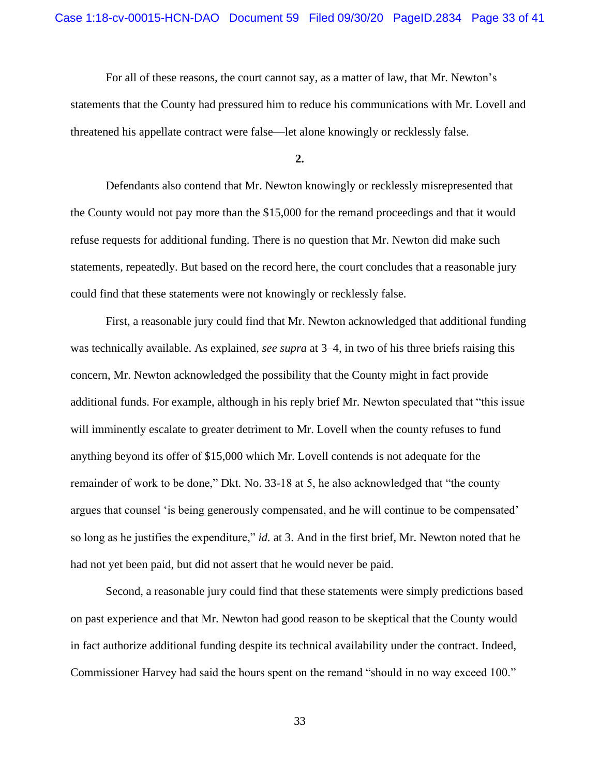For all of these reasons, the court cannot say, as a matter of law, that Mr. Newton's statements that the County had pressured him to reduce his communications with Mr. Lovell and threatened his appellate contract were false—let alone knowingly or recklessly false.

**2.**

Defendants also contend that Mr. Newton knowingly or recklessly misrepresented that the County would not pay more than the \$15,000 for the remand proceedings and that it would refuse requests for additional funding. There is no question that Mr. Newton did make such statements, repeatedly. But based on the record here, the court concludes that a reasonable jury could find that these statements were not knowingly or recklessly false.

First, a reasonable jury could find that Mr. Newton acknowledged that additional funding was technically available. As explained, *see supra* at 3–4, in two of his three briefs raising this concern, Mr. Newton acknowledged the possibility that the County might in fact provide additional funds. For example, although in his reply brief Mr. Newton speculated that "this issue will imminently escalate to greater detriment to Mr. Lovell when the county refuses to fund anything beyond its offer of \$15,000 which Mr. Lovell contends is not adequate for the remainder of work to be done," Dkt*.* No. 33-18 at 5, he also acknowledged that "the county argues that counsel 'is being generously compensated, and he will continue to be compensated' so long as he justifies the expenditure," *id.* at 3. And in the first brief, Mr. Newton noted that he had not yet been paid, but did not assert that he would never be paid.

Second, a reasonable jury could find that these statements were simply predictions based on past experience and that Mr. Newton had good reason to be skeptical that the County would in fact authorize additional funding despite its technical availability under the contract. Indeed, Commissioner Harvey had said the hours spent on the remand "should in no way exceed 100."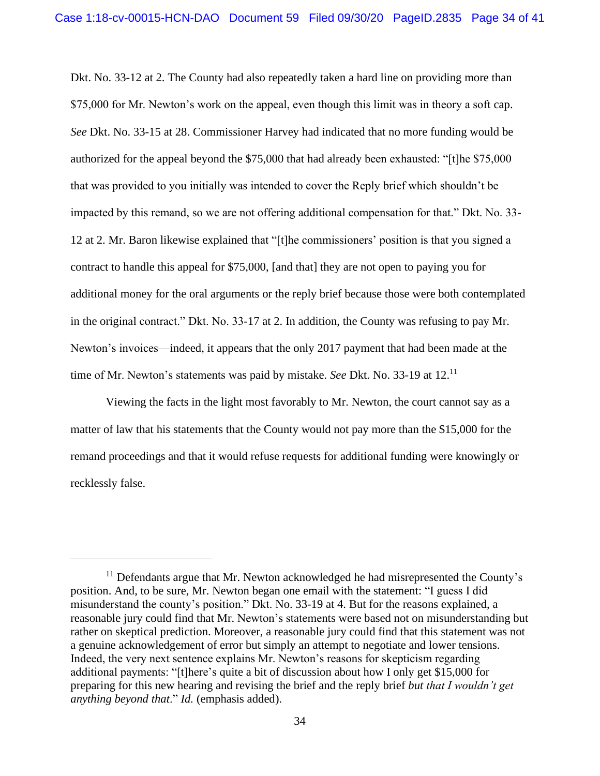Dkt. No. 33-12 at 2. The County had also repeatedly taken a hard line on providing more than \$75,000 for Mr. Newton's work on the appeal, even though this limit was in theory a soft cap. *See* Dkt. No. 33-15 at 28. Commissioner Harvey had indicated that no more funding would be authorized for the appeal beyond the \$75,000 that had already been exhausted: "[t]he \$75,000 that was provided to you initially was intended to cover the Reply brief which shouldn't be impacted by this remand, so we are not offering additional compensation for that." Dkt. No. 33- 12 at 2. Mr. Baron likewise explained that "[t]he commissioners' position is that you signed a contract to handle this appeal for \$75,000, [and that] they are not open to paying you for additional money for the oral arguments or the reply brief because those were both contemplated in the original contract." Dkt. No. 33-17 at 2. In addition, the County was refusing to pay Mr. Newton's invoices—indeed, it appears that the only 2017 payment that had been made at the time of Mr. Newton's statements was paid by mistake. *See* Dkt. No. 33-19 at 12.<sup>11</sup>

Viewing the facts in the light most favorably to Mr. Newton, the court cannot say as a matter of law that his statements that the County would not pay more than the \$15,000 for the remand proceedings and that it would refuse requests for additional funding were knowingly or recklessly false.

 $11$  Defendants argue that Mr. Newton acknowledged he had misrepresented the County's position. And, to be sure, Mr. Newton began one email with the statement: "I guess I did misunderstand the county's position." Dkt. No. 33-19 at 4. But for the reasons explained, a reasonable jury could find that Mr. Newton's statements were based not on misunderstanding but rather on skeptical prediction. Moreover, a reasonable jury could find that this statement was not a genuine acknowledgement of error but simply an attempt to negotiate and lower tensions. Indeed, the very next sentence explains Mr. Newton's reasons for skepticism regarding additional payments: "[t]here's quite a bit of discussion about how I only get \$15,000 for preparing for this new hearing and revising the brief and the reply brief *but that I wouldn't get anything beyond that*." *Id.* (emphasis added).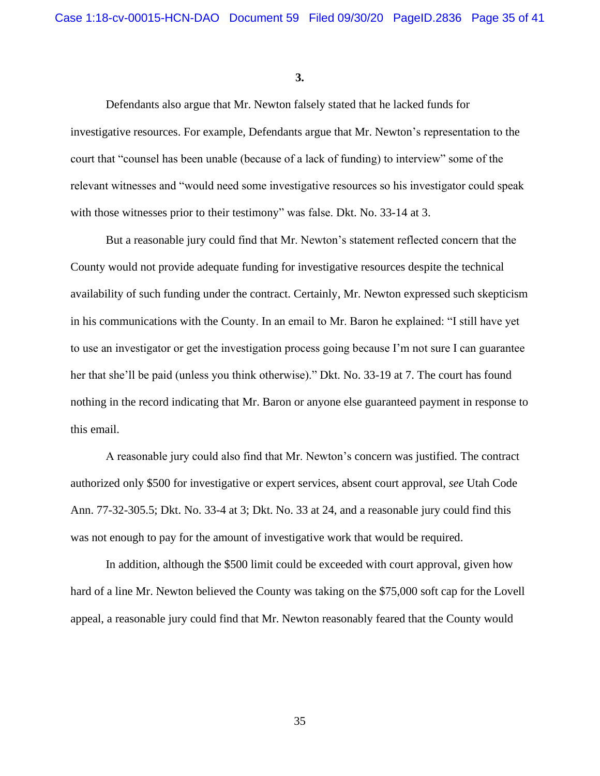**3.**

Defendants also argue that Mr. Newton falsely stated that he lacked funds for investigative resources. For example, Defendants argue that Mr. Newton's representation to the court that "counsel has been unable (because of a lack of funding) to interview" some of the relevant witnesses and "would need some investigative resources so his investigator could speak with those witnesses prior to their testimony" was false. Dkt. No. 33-14 at 3.

But a reasonable jury could find that Mr. Newton's statement reflected concern that the County would not provide adequate funding for investigative resources despite the technical availability of such funding under the contract. Certainly, Mr. Newton expressed such skepticism in his communications with the County. In an email to Mr. Baron he explained: "I still have yet to use an investigator or get the investigation process going because I'm not sure I can guarantee her that she'll be paid (unless you think otherwise)." Dkt. No. 33-19 at 7. The court has found nothing in the record indicating that Mr. Baron or anyone else guaranteed payment in response to this email.

A reasonable jury could also find that Mr. Newton's concern was justified. The contract authorized only \$500 for investigative or expert services, absent court approval, *see* Utah Code Ann. 77-32-305.5; Dkt. No. 33-4 at 3; Dkt. No. 33 at 24, and a reasonable jury could find this was not enough to pay for the amount of investigative work that would be required.

In addition, although the \$500 limit could be exceeded with court approval, given how hard of a line Mr. Newton believed the County was taking on the \$75,000 soft cap for the Lovell appeal, a reasonable jury could find that Mr. Newton reasonably feared that the County would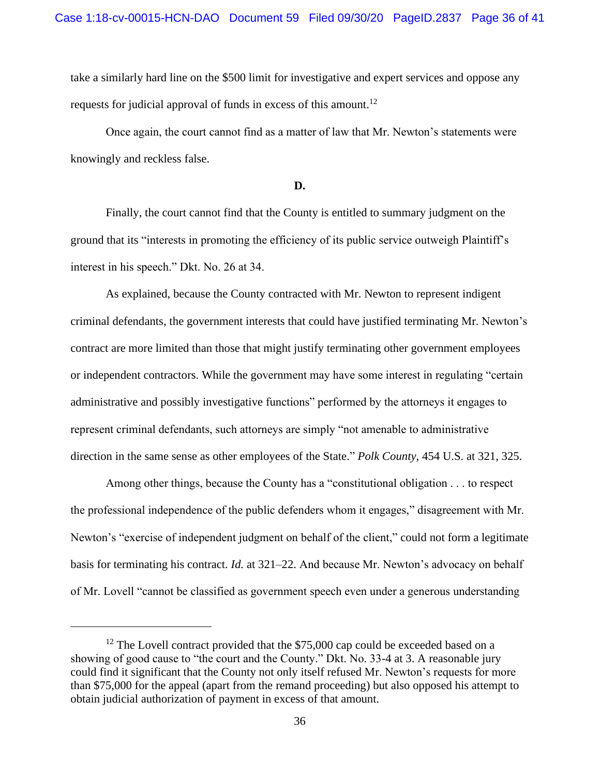take a similarly hard line on the \$500 limit for investigative and expert services and oppose any requests for judicial approval of funds in excess of this amount.<sup>12</sup>

Once again, the court cannot find as a matter of law that Mr. Newton's statements were knowingly and reckless false.

**D.**

Finally, the court cannot find that the County is entitled to summary judgment on the ground that its "interests in promoting the efficiency of its public service outweigh Plaintiff's interest in his speech." Dkt. No. 26 at 34.

As explained, because the County contracted with Mr. Newton to represent indigent criminal defendants, the government interests that could have justified terminating Mr. Newton's contract are more limited than those that might justify terminating other government employees or independent contractors. While the government may have some interest in regulating "certain administrative and possibly investigative functions" performed by the attorneys it engages to represent criminal defendants, such attorneys are simply "not amenable to administrative direction in the same sense as other employees of the State." *Polk County*, 454 U.S. at 321, 325.

Among other things, because the County has a "constitutional obligation . . . to respect the professional independence of the public defenders whom it engages," disagreement with Mr. Newton's "exercise of independent judgment on behalf of the client," could not form a legitimate basis for terminating his contract. *Id.* at 321–22. And because Mr. Newton's advocacy on behalf of Mr. Lovell "cannot be classified as government speech even under a generous understanding

<sup>&</sup>lt;sup>12</sup> The Lovell contract provided that the \$75,000 cap could be exceeded based on a showing of good cause to "the court and the County." Dkt. No. 33-4 at 3. A reasonable jury could find it significant that the County not only itself refused Mr. Newton's requests for more than \$75,000 for the appeal (apart from the remand proceeding) but also opposed his attempt to obtain judicial authorization of payment in excess of that amount.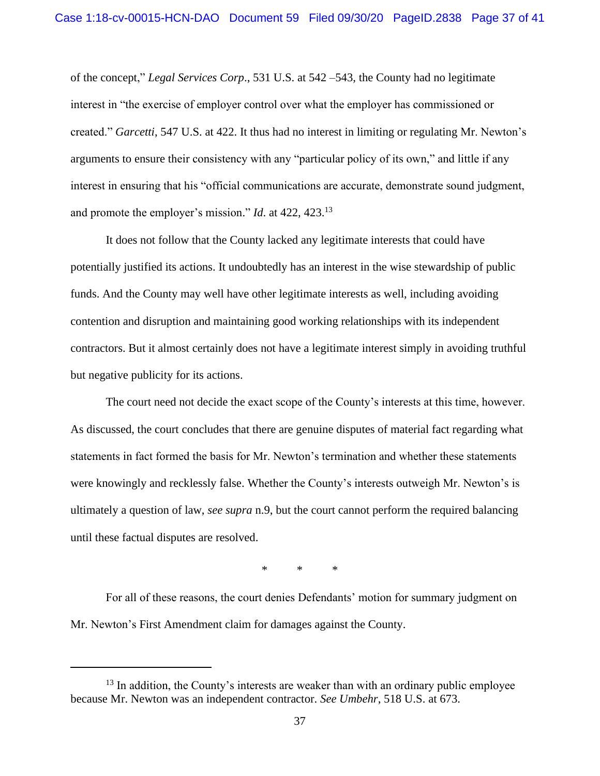of the concept," *Legal Services Corp*., 531 U.S. at 542 –543, the County had no legitimate interest in "the exercise of employer control over what the employer has commissioned or created." *Garcetti*, 547 U.S. at 422. It thus had no interest in limiting or regulating Mr. Newton's arguments to ensure their consistency with any "particular policy of its own," and little if any interest in ensuring that his "official communications are accurate, demonstrate sound judgment, and promote the employer's mission." *Id*. at 422, 423.<sup>13</sup>

It does not follow that the County lacked any legitimate interests that could have potentially justified its actions. It undoubtedly has an interest in the wise stewardship of public funds. And the County may well have other legitimate interests as well, including avoiding contention and disruption and maintaining good working relationships with its independent contractors. But it almost certainly does not have a legitimate interest simply in avoiding truthful but negative publicity for its actions.

The court need not decide the exact scope of the County's interests at this time, however. As discussed, the court concludes that there are genuine disputes of material fact regarding what statements in fact formed the basis for Mr. Newton's termination and whether these statements were knowingly and recklessly false. Whether the County's interests outweigh Mr. Newton's is ultimately a question of law, *see supra* n.9, but the court cannot perform the required balancing until these factual disputes are resolved.

\* \* \*

For all of these reasons, the court denies Defendants' motion for summary judgment on Mr. Newton's First Amendment claim for damages against the County.

 $13$  In addition, the County's interests are weaker than with an ordinary public employee because Mr. Newton was an independent contractor. *See Umbehr*, 518 U.S. at 673.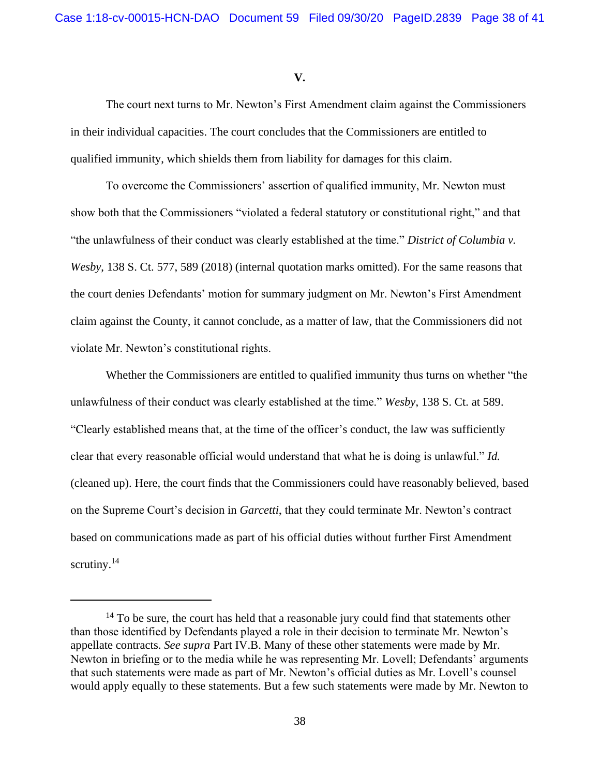**V.**

The court next turns to Mr. Newton's First Amendment claim against the Commissioners in their individual capacities. The court concludes that the Commissioners are entitled to qualified immunity, which shields them from liability for damages for this claim.

To overcome the Commissioners' assertion of qualified immunity, Mr. Newton must show both that the Commissioners "violated a federal statutory or constitutional right," and that "the unlawfulness of their conduct was clearly established at the time." *District of Columbia v. Wesby*, 138 S. Ct. 577, 589 (2018) (internal quotation marks omitted). For the same reasons that the court denies Defendants' motion for summary judgment on Mr. Newton's First Amendment claim against the County, it cannot conclude, as a matter of law, that the Commissioners did not violate Mr. Newton's constitutional rights.

Whether the Commissioners are entitled to qualified immunity thus turns on whether "the unlawfulness of their conduct was clearly established at the time." *Wesby*, 138 S. Ct. at 589. "Clearly established means that, at the time of the officer's conduct, the law was sufficiently clear that every reasonable official would understand that what he is doing is unlawful." *Id.* (cleaned up). Here, the court finds that the Commissioners could have reasonably believed, based on the Supreme Court's decision in *Garcetti*, that they could terminate Mr. Newton's contract based on communications made as part of his official duties without further First Amendment scrutiny.<sup>14</sup>

 $14$  To be sure, the court has held that a reasonable jury could find that statements other than those identified by Defendants played a role in their decision to terminate Mr. Newton's appellate contracts. *See supra* Part IV.B. Many of these other statements were made by Mr. Newton in briefing or to the media while he was representing Mr. Lovell; Defendants' arguments that such statements were made as part of Mr. Newton's official duties as Mr. Lovell's counsel would apply equally to these statements. But a few such statements were made by Mr. Newton to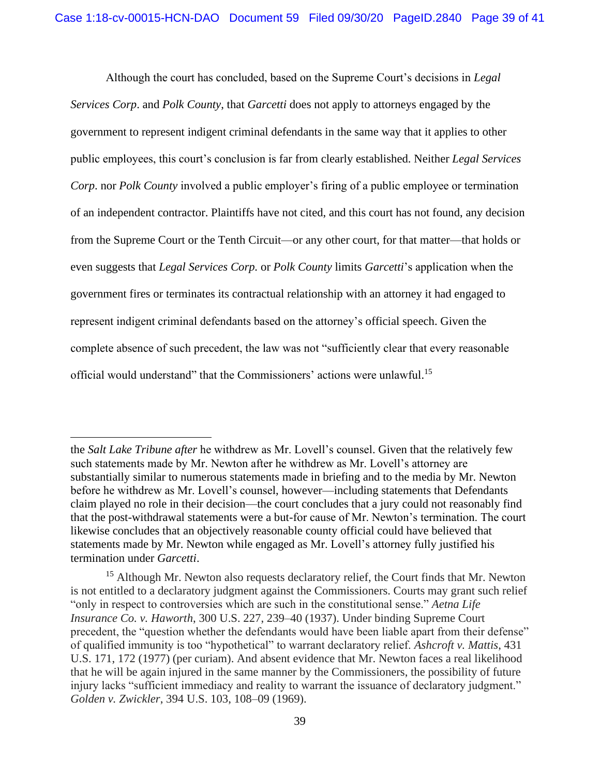Although the court has concluded, based on the Supreme Court's decisions in *Legal Services Corp*. and *Polk County*, that *Garcetti* does not apply to attorneys engaged by the government to represent indigent criminal defendants in the same way that it applies to other public employees, this court's conclusion is far from clearly established. Neither *Legal Services Corp*. nor *Polk County* involved a public employer's firing of a public employee or termination of an independent contractor. Plaintiffs have not cited, and this court has not found, any decision from the Supreme Court or the Tenth Circuit—or any other court, for that matter—that holds or even suggests that *Legal Services Corp.* or *Polk County* limits *Garcetti*'s application when the government fires or terminates its contractual relationship with an attorney it had engaged to represent indigent criminal defendants based on the attorney's official speech. Given the complete absence of such precedent, the law was not "sufficiently clear that every reasonable official would understand" that the Commissioners' actions were unlawful.<sup>15</sup>

the *Salt Lake Tribune after* he withdrew as Mr. Lovell's counsel. Given that the relatively few such statements made by Mr. Newton after he withdrew as Mr. Lovell's attorney are substantially similar to numerous statements made in briefing and to the media by Mr. Newton before he withdrew as Mr. Lovell's counsel, however—including statements that Defendants claim played no role in their decision—the court concludes that a jury could not reasonably find that the post-withdrawal statements were a but-for cause of Mr. Newton's termination. The court likewise concludes that an objectively reasonable county official could have believed that statements made by Mr. Newton while engaged as Mr. Lovell's attorney fully justified his termination under *Garcetti*.

<sup>&</sup>lt;sup>15</sup> Although Mr. Newton also requests declaratory relief, the Court finds that Mr. Newton is not entitled to a declaratory judgment against the Commissioners. Courts may grant such relief "only in respect to controversies which are such in the constitutional sense." *Aetna Life Insurance Co. v. Haworth*, 300 U.S. 227, 239–40 (1937). Under binding Supreme Court precedent, the "question whether the defendants would have been liable apart from their defense" of qualified immunity is too "hypothetical" to warrant declaratory relief. *Ashcroft v. Mattis*, 431 U.S. 171, 172 (1977) (per curiam). And absent evidence that Mr. Newton faces a real likelihood that he will be again injured in the same manner by the Commissioners, the possibility of future injury lacks "sufficient immediacy and reality to warrant the issuance of declaratory judgment." *Golden v. Zwickler*, 394 U.S. 103, 108–09 (1969).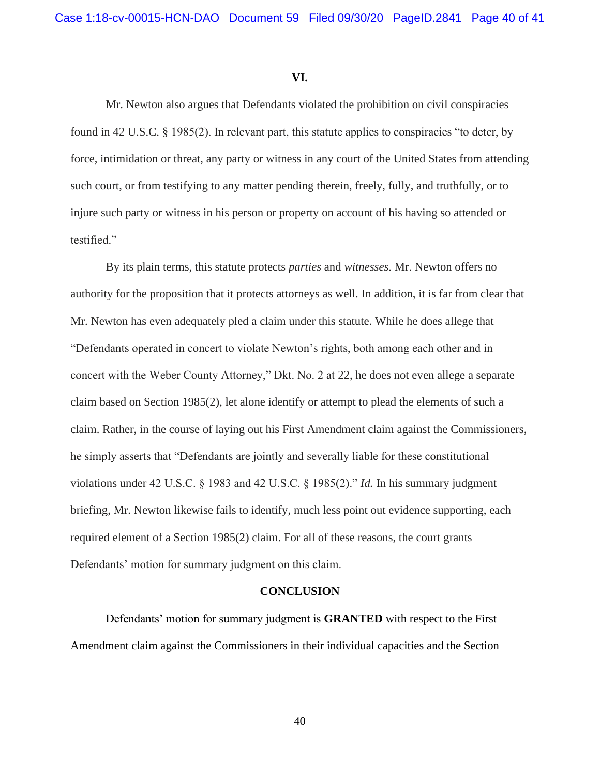## **VI.**

Mr. Newton also argues that Defendants violated the prohibition on civil conspiracies found in 42 U.S.C. § 1985(2). In relevant part, this statute applies to conspiracies "to deter, by force, intimidation or threat, any party or witness in any court of the United States from attending such court, or from testifying to any matter pending therein, freely, fully, and truthfully, or to injure such party or witness in his person or property on account of his having so attended or testified."

By its plain terms, this statute protects *parties* and *witnesses*. Mr. Newton offers no authority for the proposition that it protects attorneys as well. In addition, it is far from clear that Mr. Newton has even adequately pled a claim under this statute. While he does allege that "Defendants operated in concert to violate Newton's rights, both among each other and in concert with the Weber County Attorney," Dkt. No. 2 at 22, he does not even allege a separate claim based on Section 1985(2), let alone identify or attempt to plead the elements of such a claim. Rather, in the course of laying out his First Amendment claim against the Commissioners, he simply asserts that "Defendants are jointly and severally liable for these constitutional violations under 42 U.S.C. § 1983 and 42 U.S.C. § 1985(2)." *Id.* In his summary judgment briefing, Mr. Newton likewise fails to identify, much less point out evidence supporting, each required element of a Section 1985(2) claim. For all of these reasons, the court grants Defendants' motion for summary judgment on this claim.

## **CONCLUSION**

Defendants' motion for summary judgment is **GRANTED** with respect to the First Amendment claim against the Commissioners in their individual capacities and the Section